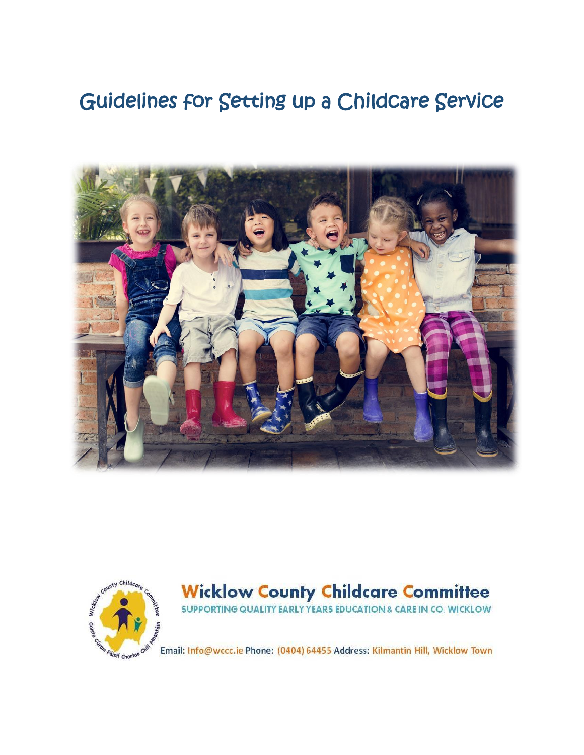# Guidelines for Setting up a Childcare Service





# **Wicklow County Childcare Committee**<br>**SUPPORTING QUALITY EARLY YEARS EDUCATION & CARE IN CO. WICKLOW**

Email: Info@wccc.ie Phone: (0404) 64455 Address: Kilmantin Hill, Wicklow Town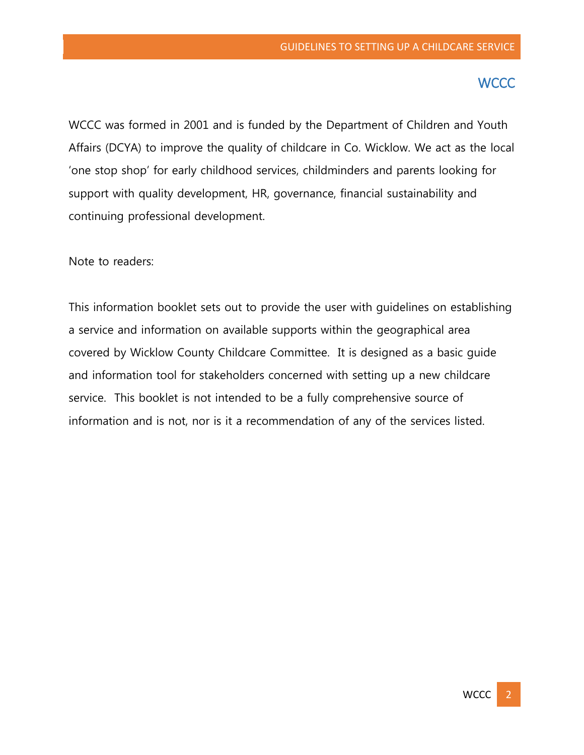# **WCCC**

<span id="page-1-0"></span>WCCC was formed in 2001 and is funded by the [Department of Children and Youth](http://www.dcya.gov.ie/viewdoc.asp?DocID=120)  [Affairs \(DCYA\)](http://www.dcya.gov.ie/viewdoc.asp?DocID=120) to improve the quality of childcare in Co. Wicklow. We act as the local 'one stop shop' for early childhood services, childminders and parents looking for support with quality development, HR, governance, financial sustainability and continuing professional development.

Note to readers:

This information booklet sets out to provide the user with guidelines on establishing a service and information on available supports within the geographical area covered by Wicklow County Childcare Committee. It is designed as a basic guide and information tool for stakeholders concerned with setting up a new childcare service. This booklet is not intended to be a fully comprehensive source of information and is not, nor is it a recommendation of any of the services listed.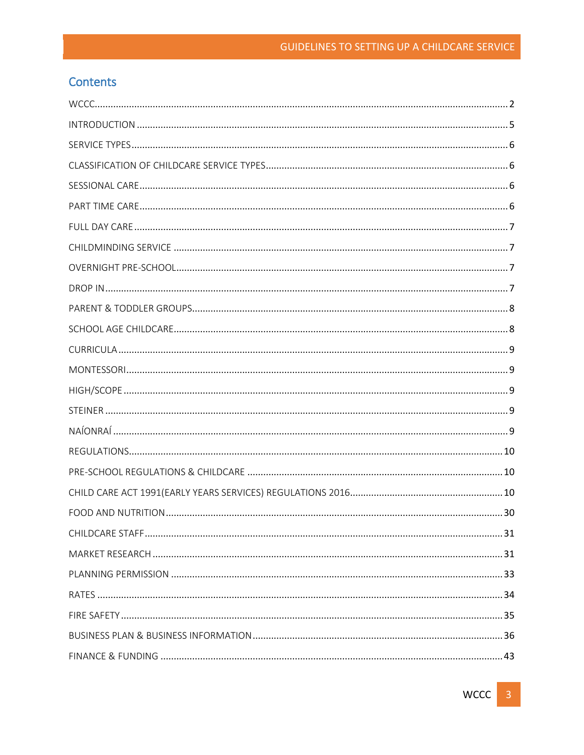# **Contents**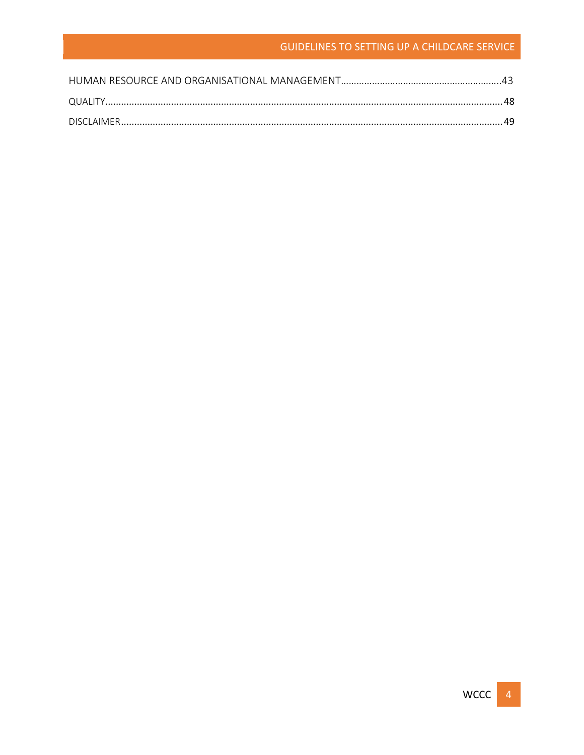# **GUIDELINES TO SETTING UP A CHILDCARE SERVICE**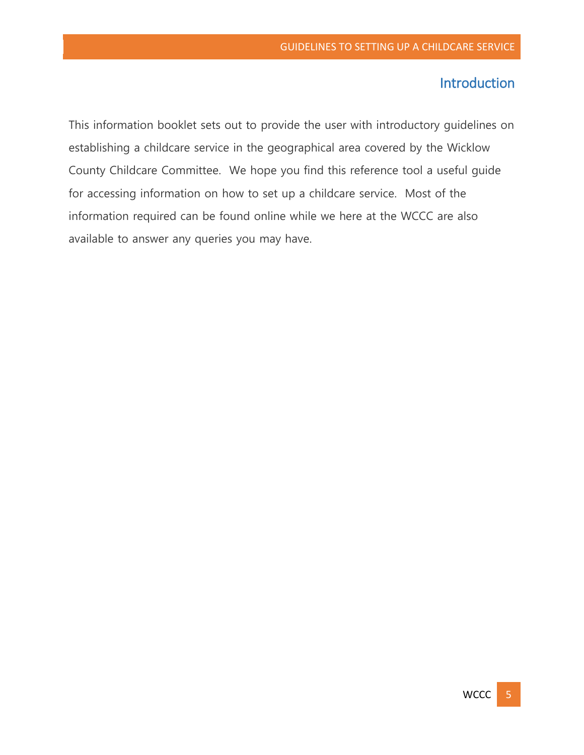# Introduction

<span id="page-4-0"></span>This information booklet sets out to provide the user with introductory guidelines on establishing a childcare service in the geographical area covered by the Wicklow County Childcare Committee. We hope you find this reference tool a useful guide for accessing information on how to set up a childcare service. Most of the information required can be found online while we here at the WCCC are also available to answer any queries you may have.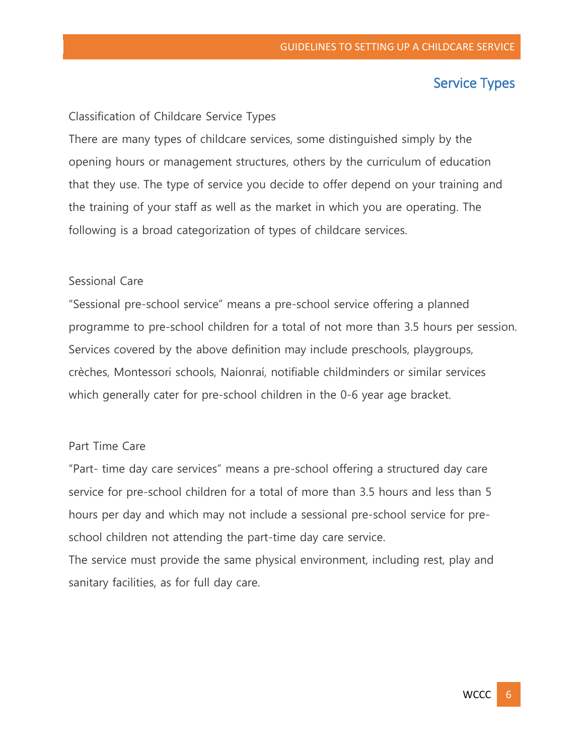# Service Types

#### <span id="page-5-0"></span>Classification of Childcare Service Types

There are many types of childcare services, some distinguished simply by the opening hours or management structures, others by the curriculum of education that they use. The type of service you decide to offer depend on your training and the training of your staff as well as the market in which you are operating. The following is a broad categorization of types of childcare services.

#### <span id="page-5-1"></span>Sessional Care

"Sessional pre-school service" means a pre-school service offering a planned programme to pre-school children for a total of not more than 3.5 hours per session. Services covered by the above definition may include preschools, playgroups, crèches, Montessori schools, Naíonraí, notifiable childminders or similar services which generally cater for pre-school children in the 0-6 year age bracket.

#### <span id="page-5-2"></span>Part Time Care

"Part- time day care services" means a pre-school offering a structured day care service for pre-school children for a total of more than 3.5 hours and less than 5 hours per day and which may not include a sessional pre-school service for preschool children not attending the part-time day care service.

<span id="page-5-3"></span>The service must provide the same physical environment, including rest, play and sanitary facilities, as for full day care.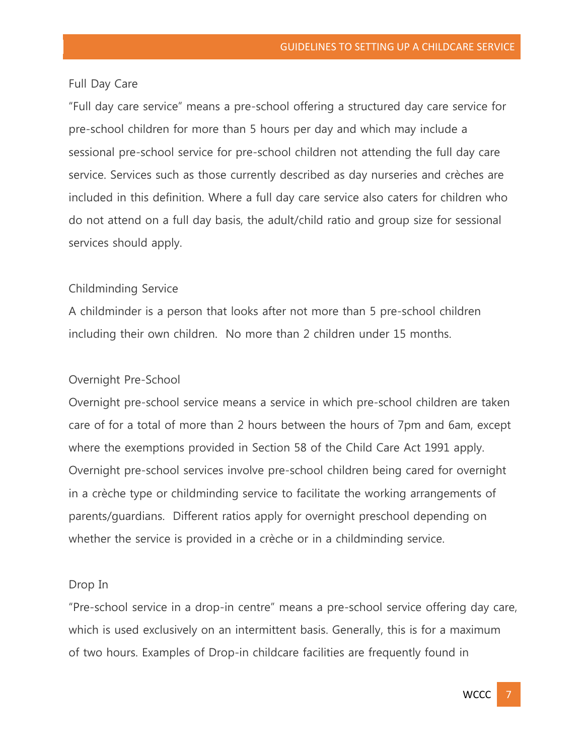#### Full Day Care

"Full day care service" means a pre-school offering a structured day care service for pre-school children for more than 5 hours per day and which may include a sessional pre-school service for pre-school children not attending the full day care service. Services such as those currently described as day nurseries and crèches are included in this definition. Where a full day care service also caters for children who do not attend on a full day basis, the adult/child ratio and group size for sessional services should apply.

#### <span id="page-6-0"></span>Childminding Service

A childminder is a person that looks after not more than 5 pre-school children including their own children. No more than 2 children under 15 months.

#### <span id="page-6-1"></span>Overnight Pre-School

Overnight pre-school service means a service in which pre-school children are taken care of for a total of more than 2 hours between the hours of 7pm and 6am, except where the exemptions provided in Section 58 of the Child Care Act 1991 apply. Overnight pre-school services involve pre-school children being cared for overnight in a crèche type or childminding service to facilitate the working arrangements of parents/guardians. Different ratios apply for overnight preschool depending on whether the service is provided in a crèche or in a childminding service.

#### <span id="page-6-2"></span>Drop In

"Pre-school service in a drop-in centre" means a pre-school service offering day care, which is used exclusively on an intermittent basis. Generally, this is for a maximum of two hours. Examples of Drop-in childcare facilities are frequently found in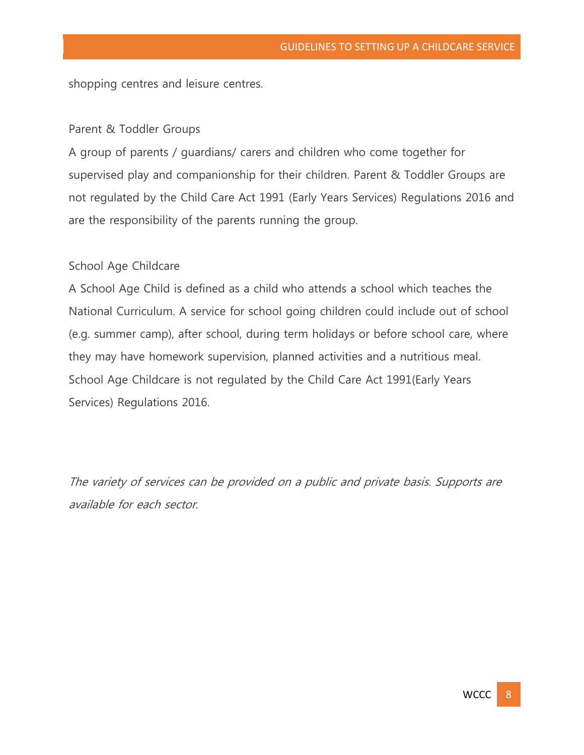shopping centres and leisure centres.

#### <span id="page-7-0"></span>Parent & Toddler Groups

A group of parents / guardians/ carers and children who come together for supervised play and companionship for their children. Parent & Toddler Groups are not regulated by the Child Care Act 1991 (Early Years Services) Regulations 2016 and are the responsibility of the parents running the group.

#### <span id="page-7-1"></span>School Age Childcare

A School Age Child is defined as a child who attends a school which teaches the National Curriculum. A service for school going children could include out of school (e.g. summer camp), after school, during term holidays or before school care, where they may have homework supervision, planned activities and a nutritious meal. School Age Childcare is not regulated by the Child Care Act 1991(Early Years Services) Regulations 2016.

<span id="page-7-2"></span>The variety of services can be provided on a public and private basis. Supports are available for each sector.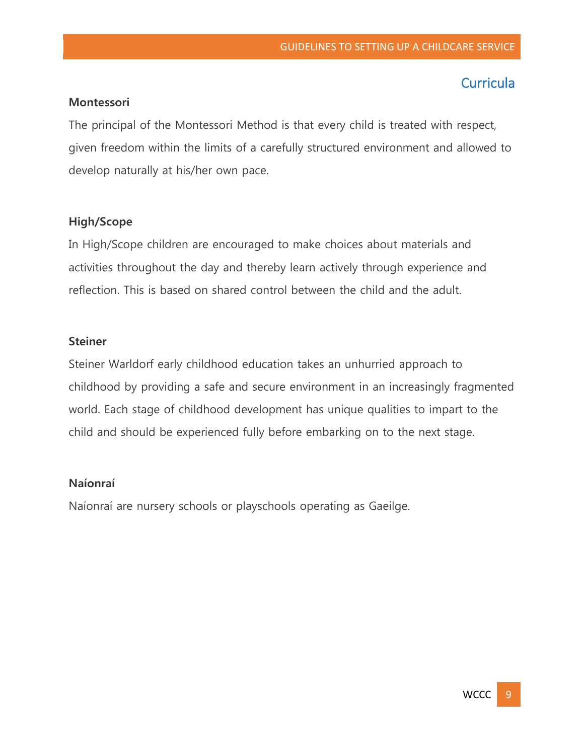# **Curricula**

#### <span id="page-8-0"></span>**Montessori**

The principal of the Montessori Method is that every child is treated with respect, given freedom within the limits of a carefully structured environment and allowed to develop naturally at his/her own pace.

#### <span id="page-8-1"></span>**High/Scope**

In High/Scope children are encouraged to make choices about materials and activities throughout the day and thereby learn actively through experience and reflection. This is based on shared control between the child and the adult.

#### <span id="page-8-2"></span>**Steiner**

Steiner Warldorf early childhood education takes an unhurried approach to childhood by providing a safe and secure environment in an increasingly fragmented world. Each stage of childhood development has unique qualities to impart to the child and should be experienced fully before embarking on to the next stage.

#### <span id="page-8-3"></span>**Naíonraí**

Naíonraí are nursery schools or playschools operating as Gaeilge.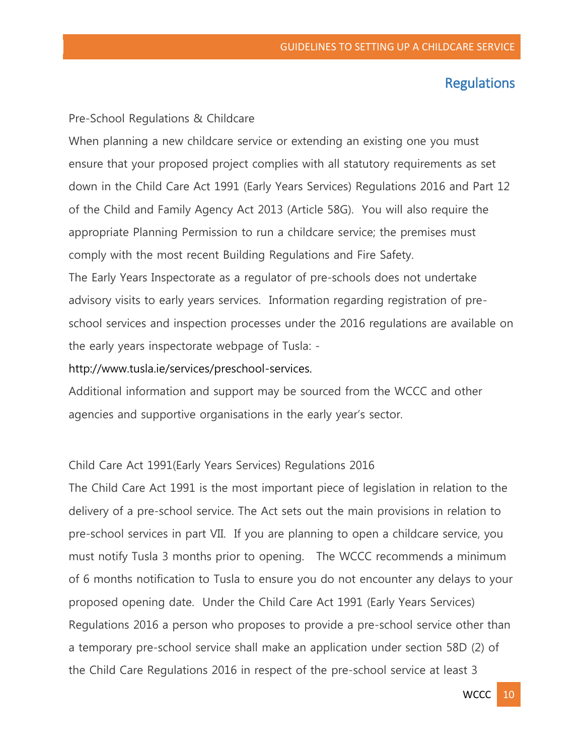# **Regulations**

#### <span id="page-9-1"></span><span id="page-9-0"></span>Pre-School Regulations & Childcare

When planning a new childcare service or extending an existing one you must ensure that your proposed project complies with all statutory requirements as set down in the Child Care Act 1991 (Early Years Services) Regulations 2016 and Part 12 of the Child and Family Agency Act 2013 (Article 58G). You will also require the appropriate Planning Permission to run a childcare service; the premises must comply with the most recent Building Regulations and Fire Safety. The Early Years Inspectorate as a regulator of pre-schools does not undertake advisory visits to early years services. Information regarding registration of preschool services and inspection processes under the 2016 regulations are available on

#### [http://www.tusla.ie/services/preschool-services.](http://www.tusla.ie/services/preschool-services)

the early years inspectorate webpage of Tusla: -

Additional information and support may be sourced from the WCCC and other agencies and supportive organisations in the early year's sector.

#### <span id="page-9-2"></span>Child Care Act 1991(Early Years Services) Regulations 2016

The Child Care Act 1991 is the most important piece of legislation in relation to the delivery of a pre-school service. The Act sets out the main provisions in relation to pre-school services in part VII. If you are planning to open a childcare service, you must notify Tusla 3 months prior to opening. The WCCC recommends a minimum of 6 months notification to Tusla to ensure you do not encounter any delays to your proposed opening date. Under the Child Care Act 1991 (Early Years Services) Regulations 2016 a person who proposes to provide a pre-school service other than a temporary pre-school service shall make an application under section 58D (2) of the Child Care Regulations 2016 in respect of the pre-school service at least 3

WCCC 10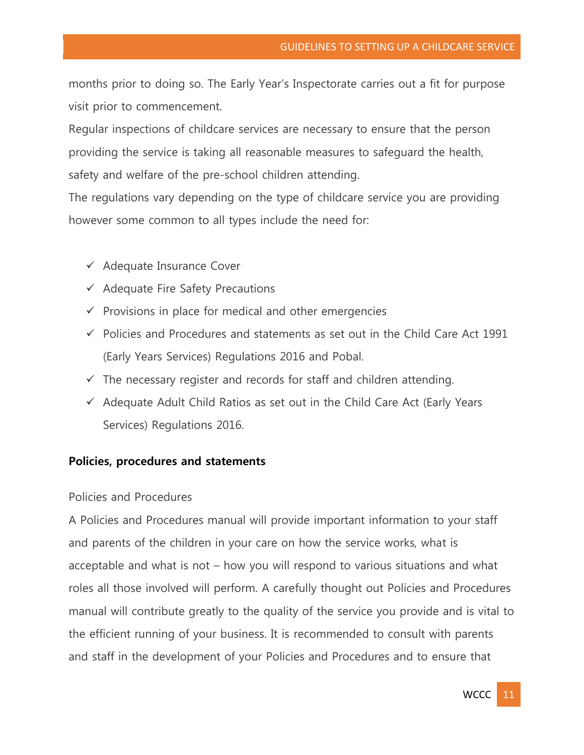#### GUIDELINES TO SETTING UP A CHILDCARE SERVICE

months prior to doing so. The Early Year's Inspectorate carries out a fit for purpose visit prior to commencement.

Regular inspections of childcare services are necessary to ensure that the person providing the service is taking all reasonable measures to safeguard the health, safety and welfare of the pre-school children attending.

The regulations vary depending on the type of childcare service you are providing however some common to all types include the need for:

- $\checkmark$  Adequate Insurance Cover
- $\checkmark$  Adequate Fire Safety Precautions
- $\checkmark$  Provisions in place for medical and other emergencies
- $\checkmark$  Policies and Procedures and statements as set out in the Child Care Act 1991 (Early Years Services) Regulations 2016 and Pobal.
- $\checkmark$  The necessary register and records for staff and children attending.
- $\checkmark$  Adequate Adult Child Ratios as set out in the Child Care Act (Early Years Services) Regulations 2016.

#### **Policies, procedures and statements**

#### Policies and Procedures

A Policies and Procedures manual will provide important information to your staff and parents of the children in your care on how the service works, what is acceptable and what is not – how you will respond to various situations and what roles all those involved will perform. A carefully thought out Policies and Procedures manual will contribute greatly to the quality of the service you provide and is vital to the efficient running of your business. It is recommended to consult with parents and staff in the development of your Policies and Procedures and to ensure that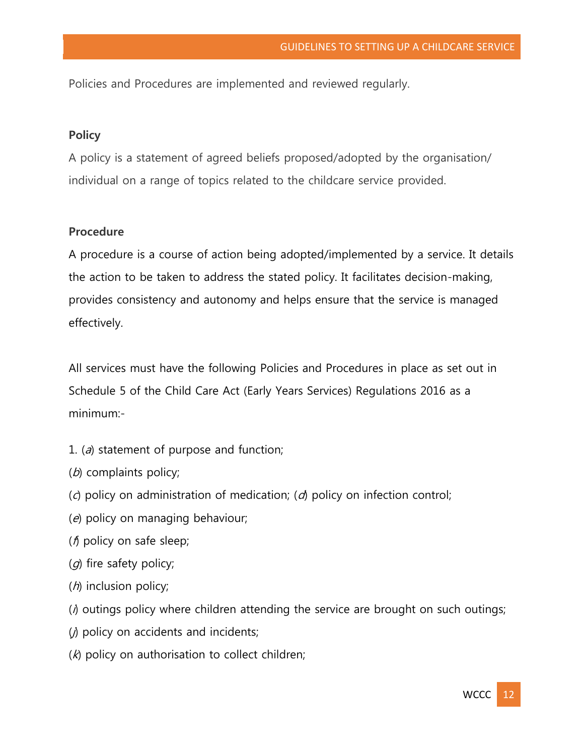Policies and Procedures are implemented and reviewed regularly.

#### **Policy**

A policy is a statement of agreed beliefs proposed/adopted by the organisation/ individual on a range of topics related to the childcare service provided.

#### **Procedure**

A procedure is a course of action being adopted/implemented by a service. It details the action to be taken to address the stated policy. It facilitates decision-making, provides consistency and autonomy and helps ensure that the service is managed effectively.

All services must have the following Policies and Procedures in place as set out in Schedule 5 of the Child Care Act (Early Years Services) Regulations 2016 as a minimum:-

- 1. (a) statement of purpose and function;
- $(b)$  complaints policy;
- (c) policy on administration of medication; (d) policy on infection control;
- (e) policy on managing behaviour;
- (f) policy on safe sleep;
- $(q)$  fire safety policy;
- $(h)$  inclusion policy;
- $(i)$  outings policy where children attending the service are brought on such outings;
- (*j*) policy on accidents and incidents;
- $(k)$  policy on authorisation to collect children;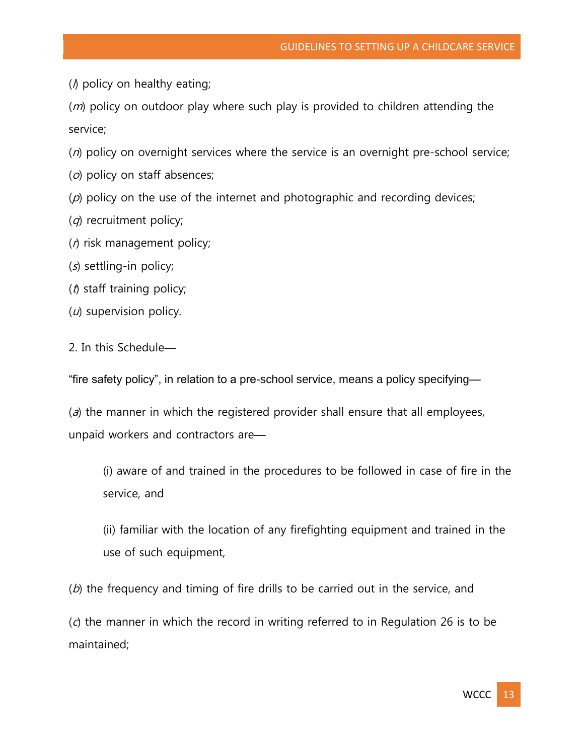$($ ) policy on healthy eating;

 $(m)$  policy on outdoor play where such play is provided to children attending the service;

 $(n)$  policy on overnight services where the service is an overnight pre-school service;

- (o) policy on staff absences;
- $(p)$  policy on the use of the internet and photographic and recording devices;
- $(q)$  recruitment policy;
- $($ *n*) risk management policy;
- $(s)$  settling-in policy;
- $(t)$  staff training policy;
- $(u)$  supervision policy.

2. In this Schedule—

"fire safety policy", in relation to a pre-school service, means a policy specifying—

(a) the manner in which the registered provider shall ensure that all employees, unpaid workers and contractors are—

(i) aware of and trained in the procedures to be followed in case of fire in the service, and

(ii) familiar with the location of any firefighting equipment and trained in the use of such equipment,

 $(b)$  the frequency and timing of fire drills to be carried out in the service, and

 $(c)$  the manner in which the record in writing referred to in Regulation 26 is to be maintained;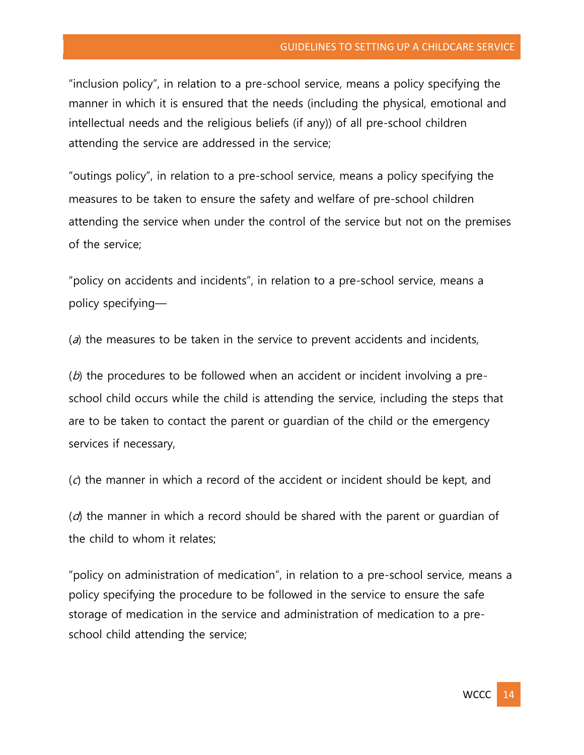#### GUIDELINES TO SETTING UP A CHILDCARE SERVICE

"inclusion policy", in relation to a pre-school service, means a policy specifying the manner in which it is ensured that the needs (including the physical, emotional and intellectual needs and the religious beliefs (if any)) of all pre-school children attending the service are addressed in the service;

"outings policy", in relation to a pre-school service, means a policy specifying the measures to be taken to ensure the safety and welfare of pre-school children attending the service when under the control of the service but not on the premises of the service;

"policy on accidents and incidents", in relation to a pre-school service, means a policy specifying—

(a) the measures to be taken in the service to prevent accidents and incidents,

 $(b)$  the procedures to be followed when an accident or incident involving a preschool child occurs while the child is attending the service, including the steps that are to be taken to contact the parent or guardian of the child or the emergency services if necessary,

 $(c)$  the manner in which a record of the accident or incident should be kept, and

( $d$ ) the manner in which a record should be shared with the parent or quardian of the child to whom it relates;

"policy on administration of medication", in relation to a pre-school service, means a policy specifying the procedure to be followed in the service to ensure the safe storage of medication in the service and administration of medication to a preschool child attending the service;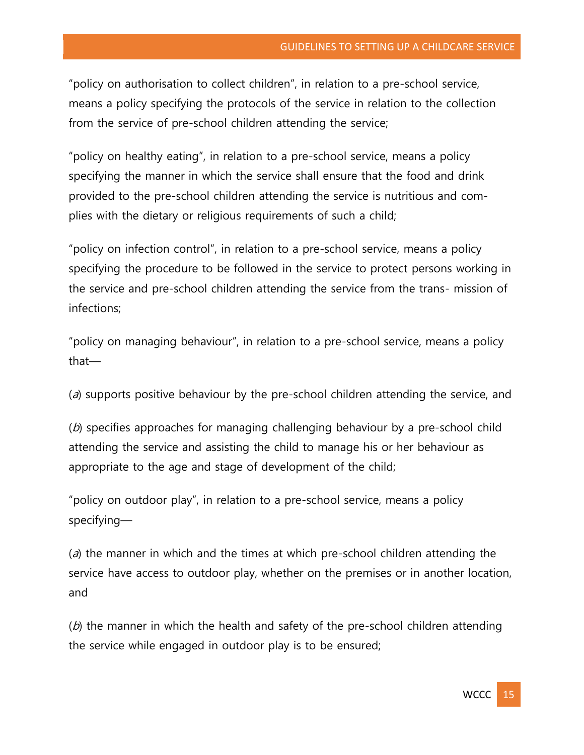"policy on authorisation to collect children", in relation to a pre-school service, means a policy specifying the protocols of the service in relation to the collection from the service of pre-school children attending the service;

"policy on healthy eating", in relation to a pre-school service, means a policy specifying the manner in which the service shall ensure that the food and drink provided to the pre-school children attending the service is nutritious and complies with the dietary or religious requirements of such a child;

"policy on infection control", in relation to a pre-school service, means a policy specifying the procedure to be followed in the service to protect persons working in the service and pre-school children attending the service from the trans- mission of infections;

"policy on managing behaviour", in relation to a pre-school service, means a policy that—

 $(a)$  supports positive behaviour by the pre-school children attending the service, and

 $(b)$  specifies approaches for managing challenging behaviour by a pre-school child attending the service and assisting the child to manage his or her behaviour as appropriate to the age and stage of development of the child;

"policy on outdoor play", in relation to a pre-school service, means a policy specifying—

( $a$ ) the manner in which and the times at which pre-school children attending the service have access to outdoor play, whether on the premises or in another location, and

( $b$ ) the manner in which the health and safety of the pre-school children attending the service while engaged in outdoor play is to be ensured;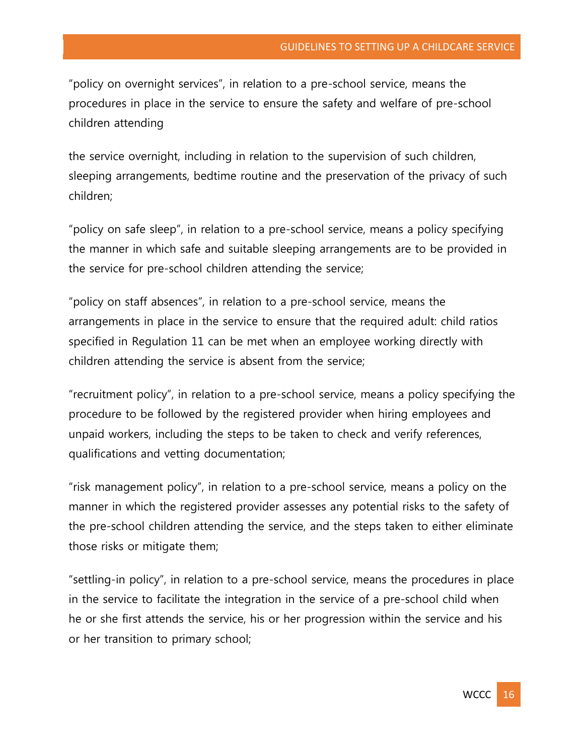"policy on overnight services", in relation to a pre-school service, means the procedures in place in the service to ensure the safety and welfare of pre-school children attending

the service overnight, including in relation to the supervision of such children, sleeping arrangements, bedtime routine and the preservation of the privacy of such children;

"policy on safe sleep", in relation to a pre-school service, means a policy specifying the manner in which safe and suitable sleeping arrangements are to be provided in the service for pre-school children attending the service;

"policy on staff absences", in relation to a pre-school service, means the arrangements in place in the service to ensure that the required adult: child ratios specified in Regulation 11 can be met when an employee working directly with children attending the service is absent from the service;

"recruitment policy", in relation to a pre-school service, means a policy specifying the procedure to be followed by the registered provider when hiring employees and unpaid workers, including the steps to be taken to check and verify references, qualifications and vetting documentation;

"risk management policy", in relation to a pre-school service, means a policy on the manner in which the registered provider assesses any potential risks to the safety of the pre-school children attending the service, and the steps taken to either eliminate those risks or mitigate them;

"settling-in policy", in relation to a pre-school service, means the procedures in place in the service to facilitate the integration in the service of a pre-school child when he or she first attends the service, his or her progression within the service and his or her transition to primary school;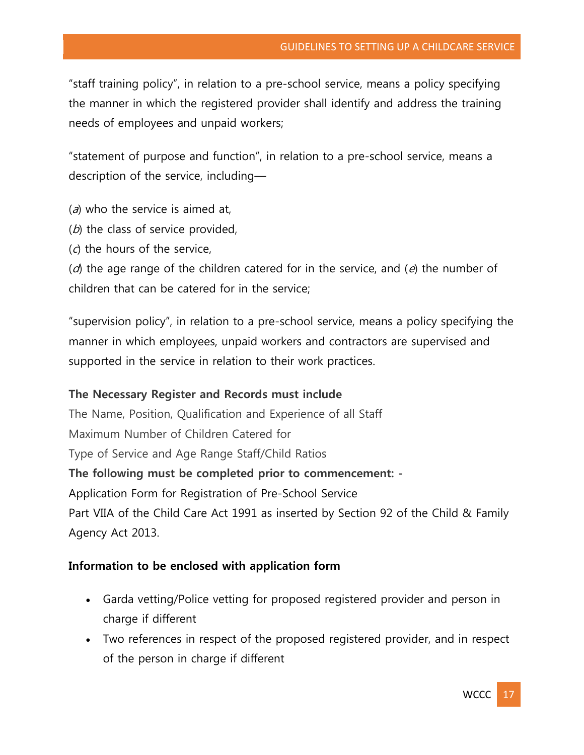"staff training policy", in relation to a pre-school service, means a policy specifying the manner in which the registered provider shall identify and address the training needs of employees and unpaid workers;

"statement of purpose and function", in relation to a pre-school service, means a description of the service, including—

- $(a)$  who the service is aimed at,
- $(b)$  the class of service provided,
- $(c)$  the hours of the service,

( $d$ ) the age range of the children catered for in the service, and ( $e$ ) the number of children that can be catered for in the service;

"supervision policy", in relation to a pre-school service, means a policy specifying the manner in which employees, unpaid workers and contractors are supervised and supported in the service in relation to their work practices.

#### **The Necessary Register and Records must include**

The Name, Position, Qualification and Experience of all Staff Maximum Number of Children Catered for Type of Service and Age Range Staff/Child Ratios **The following must be completed prior to commencement: -** Application Form for Registration of Pre-School Service Part VIIA of the Child Care Act 1991 as inserted by Section 92 of the Child & Family Agency Act 2013.

#### **Information to be enclosed with application form**

- Garda vetting/Police vetting for proposed registered provider and person in charge if different
- Two references in respect of the proposed registered provider, and in respect of the person in charge if different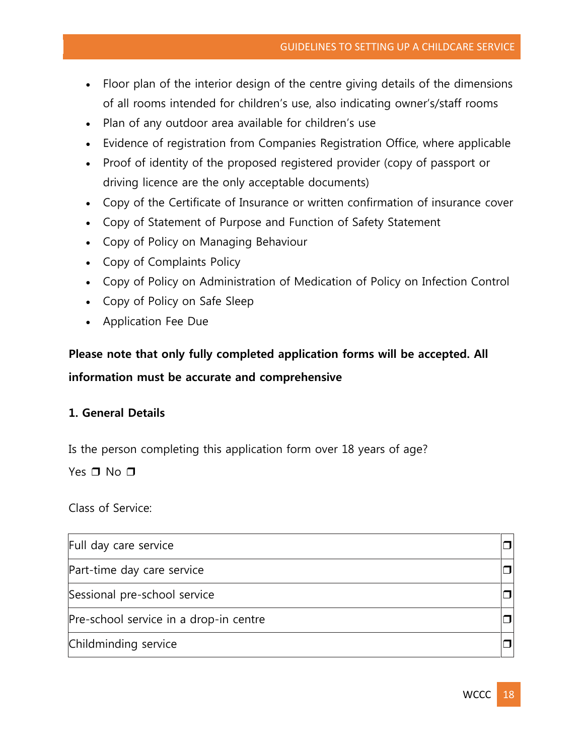- Floor plan of the interior design of the centre giving details of the dimensions of all rooms intended for children's use, also indicating owner's/staff rooms
- Plan of any outdoor area available for children's use
- Evidence of registration from Companies Registration Office, where applicable
- Proof of identity of the proposed registered provider (copy of passport or driving licence are the only acceptable documents)
- Copy of the Certificate of Insurance or written confirmation of insurance cover
- Copy of Statement of Purpose and Function of Safety Statement
- Copy of Policy on Managing Behaviour
- Copy of Complaints Policy
- Copy of Policy on Administration of Medication of Policy on Infection Control
- Copy of Policy on Safe Sleep
- Application Fee Due

# **Please note that only fully completed application forms will be accepted. All information must be accurate and comprehensive**

# **1. General Details**

Is the person completing this application form over 18 years of age?

Yes **□** No **□** 

Class of Service:

| Full day care service                  |  |
|----------------------------------------|--|
| Part-time day care service             |  |
| Sessional pre-school service           |  |
| Pre-school service in a drop-in centre |  |
| Childminding service                   |  |

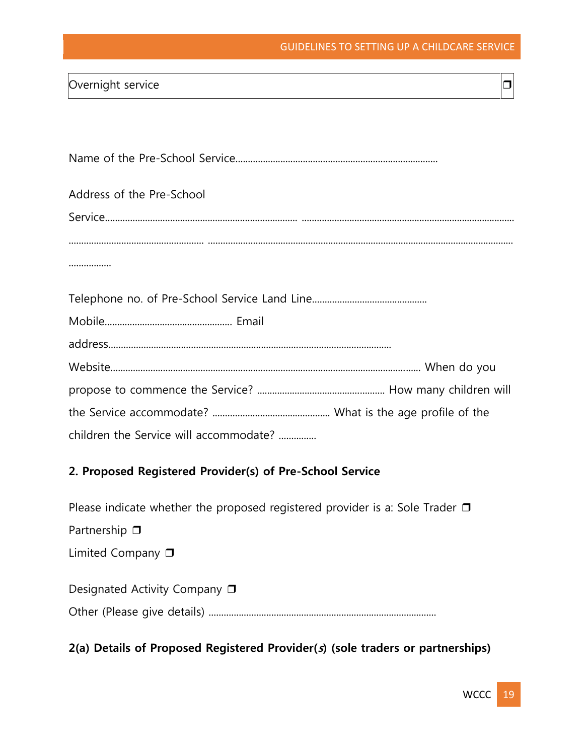#### GUIDELINES TO SETTING UP A CHILDCARE SERVICE

## Overnight service ❒

| Address of the Pre-School              |  |
|----------------------------------------|--|
|                                        |  |
|                                        |  |
|                                        |  |
|                                        |  |
|                                        |  |
|                                        |  |
|                                        |  |
|                                        |  |
|                                        |  |
| children the Service will accommodate? |  |

# **2. Proposed Registered Provider(s) of Pre-School Service**

Please indicate whether the proposed registered provider is a: Sole Trader  $\Box$ Partnership ❒ Limited Company ❒ Designated Activity Company **□** 

Other (Please give details) ...........................................................................................

# **2(a) Details of Proposed Registered Provider(s) (sole traders or partnerships)**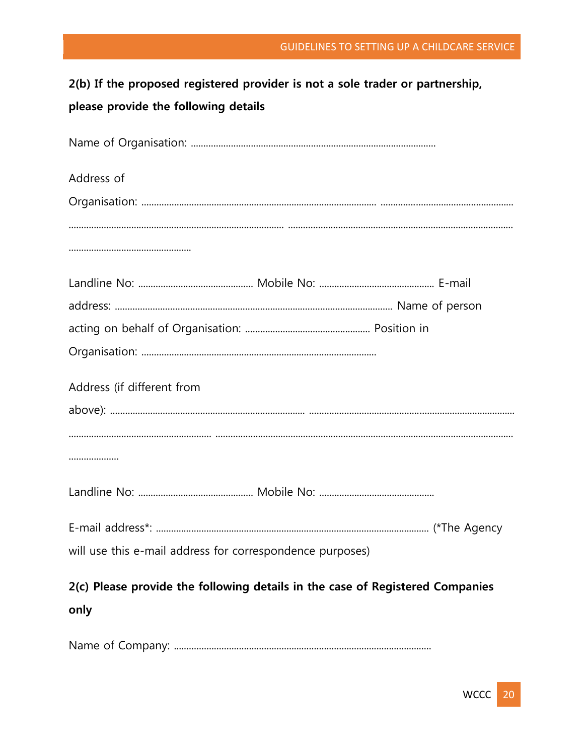# 2(b) If the proposed registered provider is not a sole trader or partnership, please provide the following details

| Address of                                                                    |
|-------------------------------------------------------------------------------|
|                                                                               |
|                                                                               |
|                                                                               |
|                                                                               |
|                                                                               |
|                                                                               |
|                                                                               |
| Address (if different from                                                    |
|                                                                               |
|                                                                               |
|                                                                               |
|                                                                               |
|                                                                               |
| will use this e-mail address for correspondence purposes)                     |
| 2(c) Please provide the following details in the case of Registered Companies |
| only                                                                          |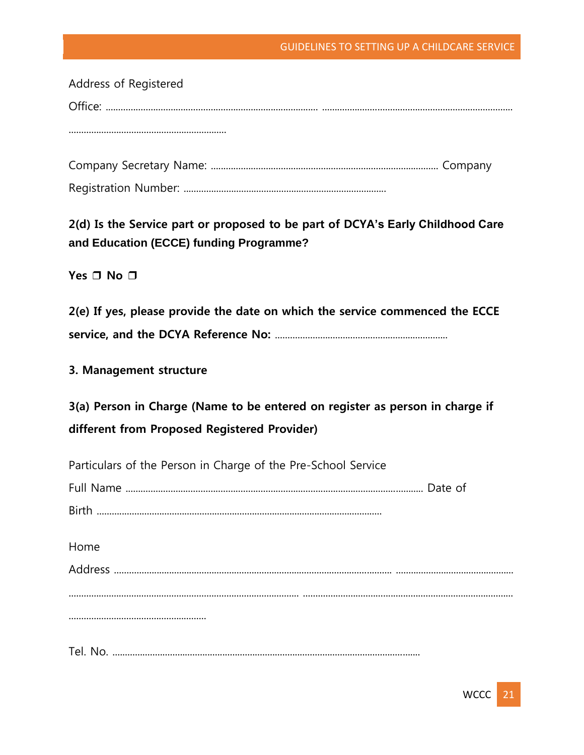#### GUIDELINES TO SETTING UP A CHILDCARE SERVICE

| Address of Registered |  |
|-----------------------|--|
|                       |  |
|                       |  |
|                       |  |

# 2(d) Is the Service part or proposed to be part of DCYA's Early Childhood Care and Education (ECCE) funding Programme?

Yes  $\Box$  No  $\Box$ 

2(e) If yes, please provide the date on which the service commenced the ECCE 

#### 3. Management structure

3(a) Person in Charge (Name to be entered on register as person in charge if different from Proposed Registered Provider)

| Particulars of the Person in Charge of the Pre-School Service |
|---------------------------------------------------------------|
|                                                               |
|                                                               |
| Home                                                          |
|                                                               |
|                                                               |
|                                                               |
|                                                               |
|                                                               |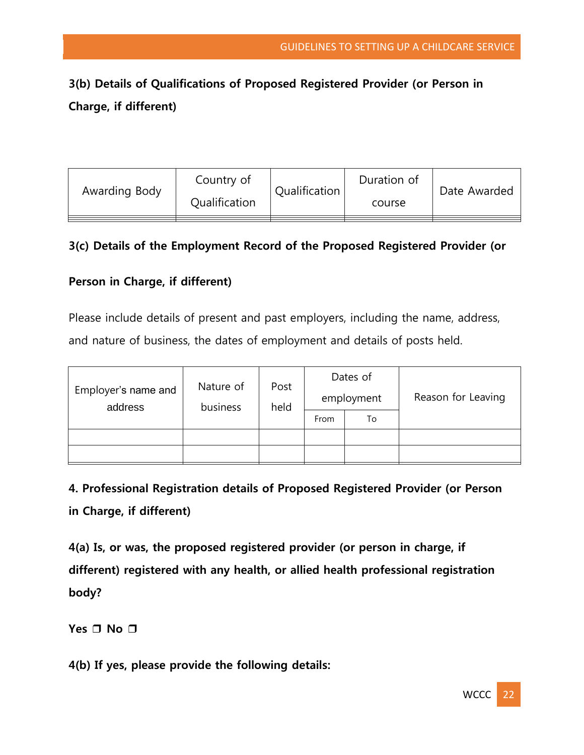# **3(b) Details of Qualifications of Proposed Registered Provider (or Person in Charge, if different)**

| Awarding Body | Country of    | Qualification | Duration of |              |
|---------------|---------------|---------------|-------------|--------------|
|               | Qualification |               | course      | Date Awarded |

# **3(c) Details of the Employment Record of the Proposed Registered Provider (or**

# **Person in Charge, if different)**

Please include details of present and past employers, including the name, address,

and nature of business, the dates of employment and details of posts held.

| Employer's name and<br>address | Nature of<br>business | Post<br>held | Dates of<br>employment |    | Reason for Leaving |
|--------------------------------|-----------------------|--------------|------------------------|----|--------------------|
|                                |                       |              | From                   | To |                    |
|                                |                       |              |                        |    |                    |
|                                |                       |              |                        |    |                    |

**4. Professional Registration details of Proposed Registered Provider (or Person in Charge, if different)** 

**4(a) Is, or was, the proposed registered provider (or person in charge, if different) registered with any health, or allied health professional registration body?** 

**Yes** ❒ **No** ❒

**4(b) If yes, please provide the following details:**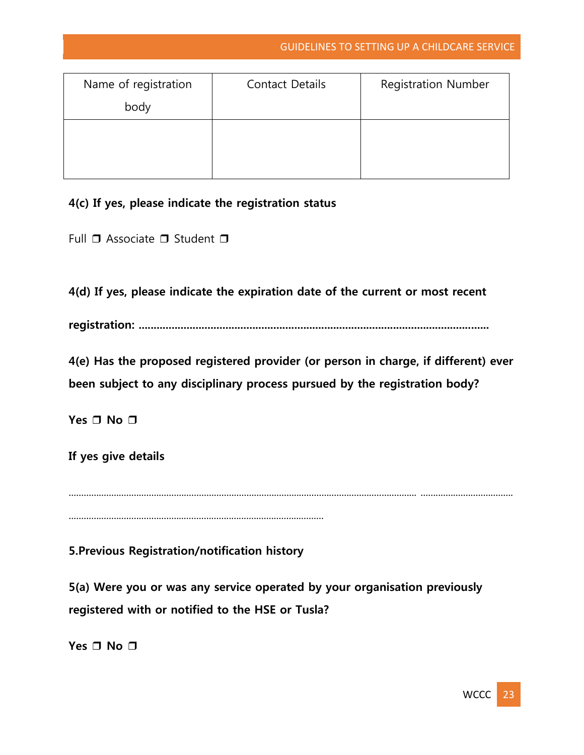| Name of registration | Contact Details | <b>Registration Number</b> |
|----------------------|-----------------|----------------------------|
| body                 |                 |                            |
|                      |                 |                            |
|                      |                 |                            |
|                      |                 |                            |

# **4(c) If yes, please indicate the registration status**

Full ❒ Associate ❒ Student ❒

**4(d) If yes, please indicate the expiration date of the current or most recent** 

**registration: .....................................................................................................................** 

**4(e) Has the proposed registered provider (or person in charge, if different) ever been subject to any disciplinary process pursued by the registration body?** 

**Yes** ❒ **No** ❒

**If yes give details** 

........................................................................................................................................... .....................................

**5.Previous Registration/notification history** 

......................................................................................................

**5(a) Were you or was any service operated by your organisation previously registered with or notified to the HSE or Tusla?** 

**Yes** ❒ **No** ❒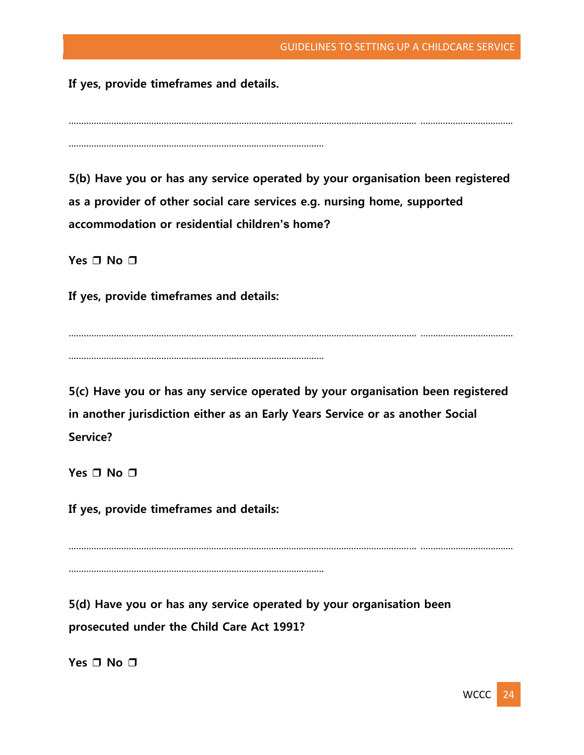**If yes, provide timeframes and details.** 

........................................................................................................................................... ..................................... ......................................................................................................

**5(b) Have you or has any service operated by your organisation been registered as a provider of other social care services e.g. nursing home, supported accommodation or residential children's home?** 

**Yes** ❒ **No** ❒

**If yes, provide timeframes and details:** 

........................................................................................................................................... ..................................... ......................................................................................................

**5(c) Have you or has any service operated by your organisation been registered in another jurisdiction either as an Early Years Service or as another Social Service?** 

**Yes** ❒ **No** ❒

**If yes, provide timeframes and details:** 

........................................................................................................................................... .....................................

......................................................................................................

**5(d) Have you or has any service operated by your organisation been prosecuted under the Child Care Act 1991?** 

**Yes** ❒ **No** ❒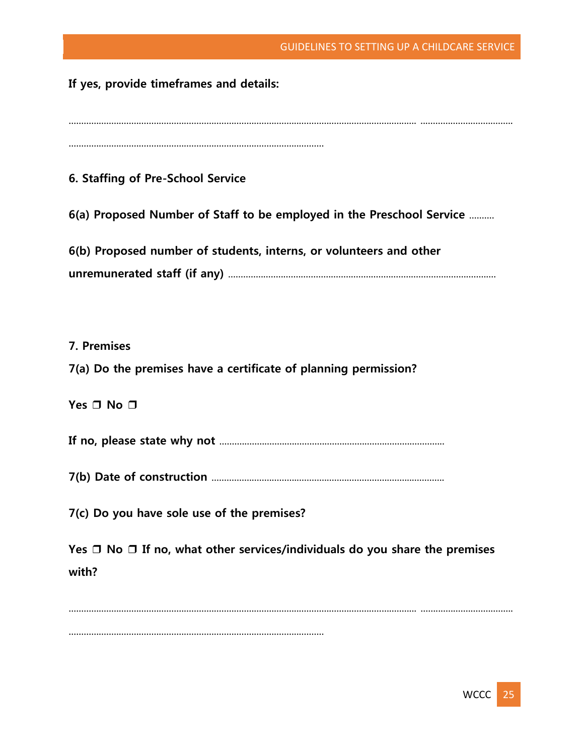# GUIDELINES TO SETTING UP A CHILDCARE SERVICE

**If yes, provide timeframes and details:** 

| 6. Staffing of Pre-School Service                                                              |
|------------------------------------------------------------------------------------------------|
| 6(a) Proposed Number of Staff to be employed in the Preschool Service                          |
| 6(b) Proposed number of students, interns, or volunteers and other                             |
| 7. Premises<br>7(a) Do the premises have a certificate of planning permission?                 |
| Yes $\Box$ No $\Box$                                                                           |
|                                                                                                |
|                                                                                                |
| 7(c) Do you have sole use of the premises?                                                     |
| Yes $\Box$ No $\Box$ If no, what other services/individuals do you share the premises<br>with? |
|                                                                                                |

......................................................................................................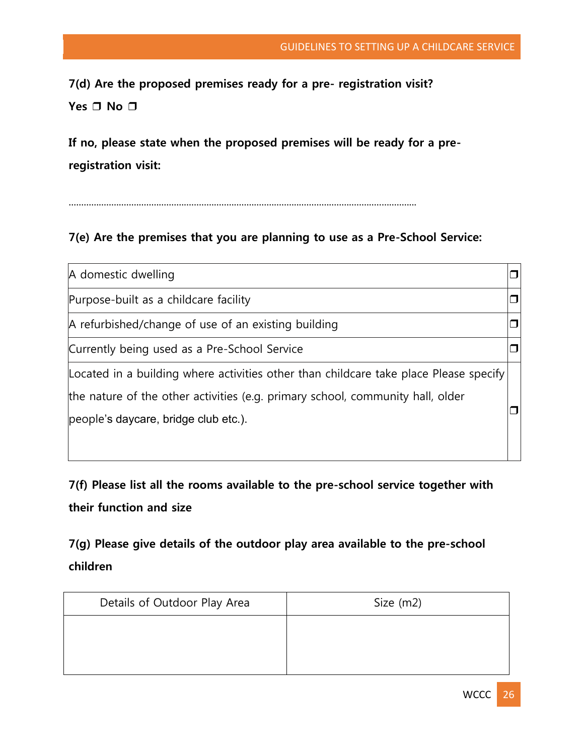**7(d) Are the proposed premises ready for a pre- registration visit? Yes** ❒ **No** ❒

**If no, please state when the proposed premises will be ready for a preregistration visit:** 

...........................................................................................................................................

# **7(e) Are the premises that you are planning to use as a Pre-School Service:**

| A domestic dwelling                                                                   |  |
|---------------------------------------------------------------------------------------|--|
| Purpose-built as a childcare facility                                                 |  |
| A refurbished/change of use of an existing building                                   |  |
| Currently being used as a Pre-School Service                                          |  |
| Located in a building where activities other than childcare take place Please specify |  |
| the nature of the other activities (e.g. primary school, community hall, older        |  |
| people's daycare, bridge club etc.).                                                  |  |
|                                                                                       |  |

**7(f) Please list all the rooms available to the pre-school service together with their function and size** 

**7(g) Please give details of the outdoor play area available to the pre-school children** 

| Details of Outdoor Play Area | Size $(m2)$ |
|------------------------------|-------------|
|                              |             |
|                              |             |
|                              |             |

WCCC<sup>26</sup>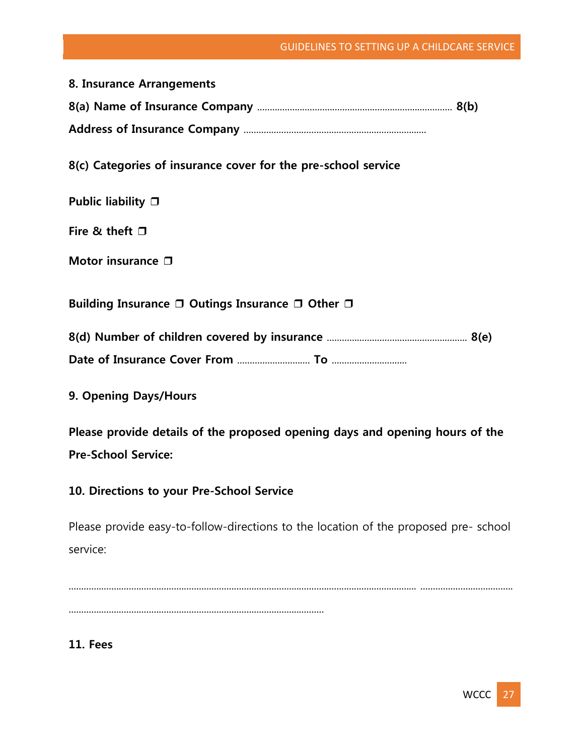## GUIDELINES TO SETTING UP A CHILDCARE SERVICE

| 8. Insurance Arrangements                                                                                                                                                                                                      |  |  |
|--------------------------------------------------------------------------------------------------------------------------------------------------------------------------------------------------------------------------------|--|--|
|                                                                                                                                                                                                                                |  |  |
|                                                                                                                                                                                                                                |  |  |
| 8(c) Categories of insurance cover for the pre-school service                                                                                                                                                                  |  |  |
| Public liability $\Box$                                                                                                                                                                                                        |  |  |
| Fire & theft $\Box$                                                                                                                                                                                                            |  |  |
| Motor insurance $\Box$                                                                                                                                                                                                         |  |  |
| Building Insurance $\Box$ Outings Insurance $\Box$ Other $\Box$                                                                                                                                                                |  |  |
|                                                                                                                                                                                                                                |  |  |
|                                                                                                                                                                                                                                |  |  |
| 9. Opening Days/Hours                                                                                                                                                                                                          |  |  |
| mai tirk and the second to the second the second second to the second second the second second to the second second second second second second second second second second second second second second second second second s |  |  |

**Please provide details of the proposed opening days and opening hours of the Pre-School Service:** 

# **10. Directions to your Pre-School Service**

Please provide easy-to-follow-directions to the location of the proposed pre- school service:

........................................................................................................................................... ..................................... ......................................................................................................

**11. Fees**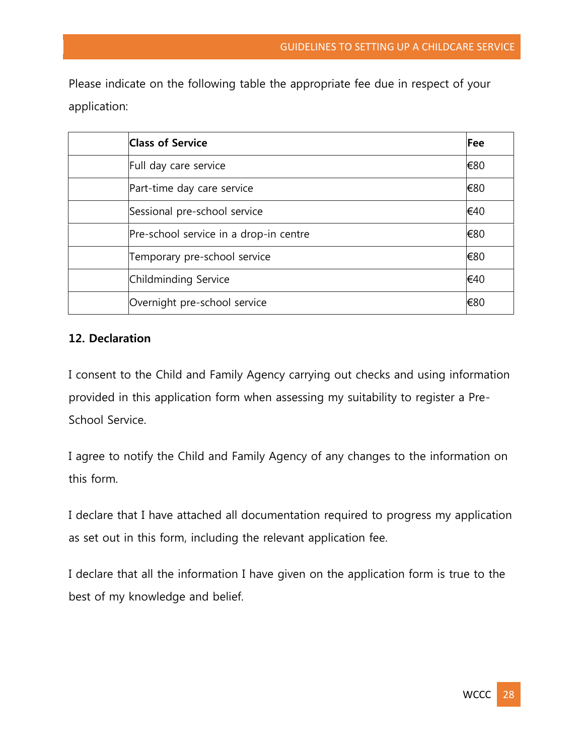Please indicate on the following table the appropriate fee due in respect of your application:

| <b>Class of Service</b>                | Fee |
|----------------------------------------|-----|
| Full day care service                  | €80 |
| Part-time day care service             | €80 |
| Sessional pre-school service           | €40 |
| Pre-school service in a drop-in centre | €80 |
| Temporary pre-school service           | €80 |
| Childminding Service                   | €40 |
| Overnight pre-school service           | €80 |

## **12. Declaration**

I consent to the Child and Family Agency carrying out checks and using information provided in this application form when assessing my suitability to register a Pre-School Service.

I agree to notify the Child and Family Agency of any changes to the information on this form.

I declare that I have attached all documentation required to progress my application as set out in this form, including the relevant application fee.

I declare that all the information I have given on the application form is true to the best of my knowledge and belief.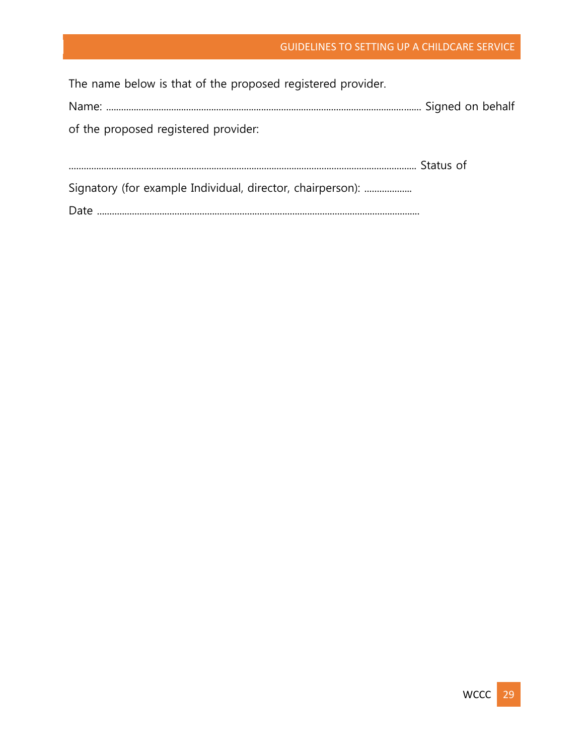#### GUIDELINES TO SETTING UP A CHILDCARE SERVICE

<span id="page-28-0"></span>The name below is that of the proposed registered provider. Name: .............................................................................................................................. Signed on behalf of the proposed registered provider: ........................................................................................................................................... Status of Signatory (for example Individual, director, chairperson): ..................... Date .................................................................................................................................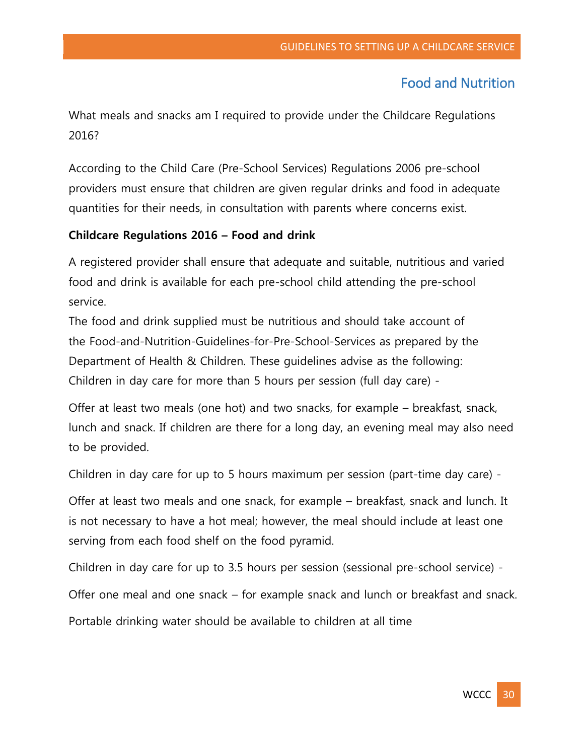# Food and Nutrition

What meals and snacks am I required to provide under the Childcare Regulations 2016?

According to the Child Care (Pre-School Services) Regulations 2006 pre-school providers must ensure that children are given regular drinks and food in adequate quantities for their needs, in consultation with parents where concerns exist.

## **Childcare Regulations 2016 – Food and drink**

A registered provider shall ensure that adequate and suitable, nutritious and varied food and drink is available for each pre-school child attending the pre-school service.

The food and drink supplied must be nutritious and should take account of the [Food-and-Nutrition-Guidelines-for-Pre-School-Services](https://www.healthpromotion.ie/health/healthy_eating) as prepared by the Department of Health & Children. These guidelines advise as the following: Children in day care for more than 5 hours per session (full day care) -

Offer at least two meals (one hot) and two snacks, for example – breakfast, snack, lunch and snack. If children are there for a long day, an evening meal may also need to be provided.

Children in day care for up to 5 hours maximum per session (part-time day care) -

Offer at least two meals and one snack, for example – breakfast, snack and lunch. It is not necessary to have a hot meal; however, the meal should include at least one serving from each food shelf on the food pyramid.

Children in day care for up to 3.5 hours per session (sessional pre-school service) - Offer one meal and one snack – for example snack and lunch or breakfast and snack. Portable drinking water should be available to children at all time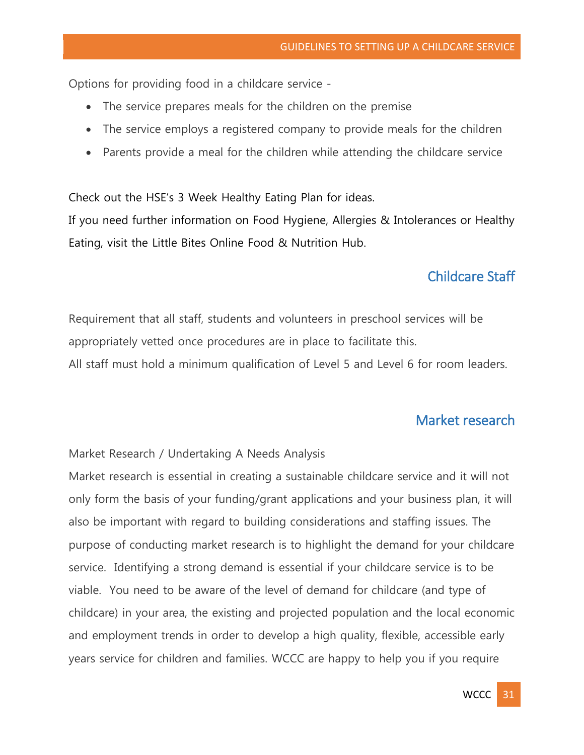Options for providing food in a childcare service -

- The service prepares meals for the children on the premise
- The service employs a registered company to provide meals for the children
- Parents provide a meal for the children while attending the childcare service

Check out the HSE's [3 Week Healthy Eating Plan](https://www.healthpromotion.ie/hp-files/docs/HPR00901.pdf) for ideas.

<span id="page-30-0"></span>If you need further information on Food Hygiene, Allergies & Intolerances or Healthy Eating, visit the [Little Bites Online Food & Nutrition Hub.](http://www.safefood.eu/Education/Pre-school/Little-Bites-(ROI)/Healthy-eating.aspx)

# Childcare Staff

Requirement that all staff, students and volunteers in preschool services will be appropriately vetted once procedures are in place to facilitate this.

<span id="page-30-1"></span>All staff must hold a minimum qualification of Level 5 and Level 6 for room leaders.

# Market research

Market Research / Undertaking A Needs Analysis

Market research is essential in creating a sustainable childcare service and it will not only form the basis of your funding/grant applications and your business plan, it will also be important with regard to building considerations and staffing issues. The purpose of conducting market research is to highlight the demand for your childcare service. Identifying a strong demand is essential if your childcare service is to be viable. You need to be aware of the level of demand for childcare (and type of childcare) in your area, the existing and projected population and the local economic and employment trends in order to develop a high quality, flexible, accessible early years service for children and families. WCCC are happy to help you if you require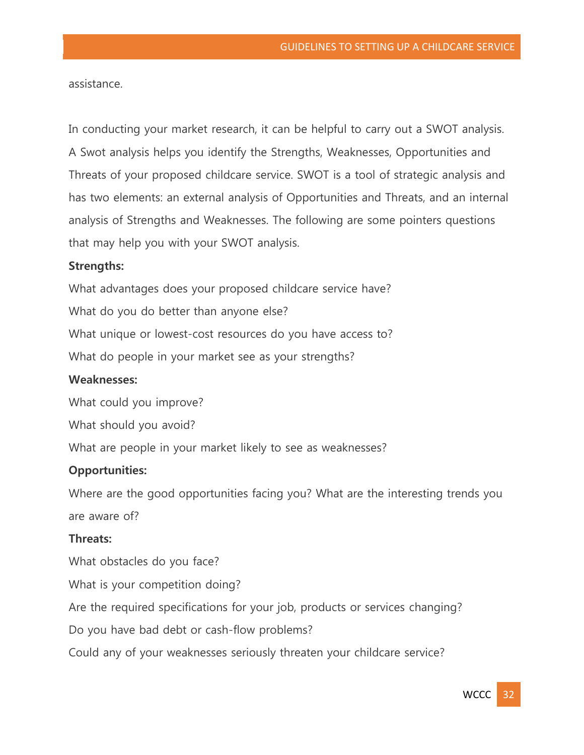assistance.

In conducting your market research, it can be helpful to carry out a SWOT analysis. A Swot analysis helps you identify the Strengths, Weaknesses, Opportunities and Threats of your proposed childcare service. SWOT is a tool of strategic analysis and has two elements: an external analysis of Opportunities and Threats, and an internal analysis of Strengths and Weaknesses. The following are some pointers questions that may help you with your SWOT analysis.

#### **Strengths:**

What advantages does your proposed childcare service have? What do you do better than anyone else? What unique or lowest-cost resources do you have access to? What do people in your market see as your strengths?

#### **Weaknesses:**

What could you improve? What should you avoid?

What are people in your market likely to see as weaknesses?

#### **Opportunities:**

Where are the good opportunities facing you? What are the interesting trends you are aware of?

#### **Threats:**

What obstacles do you face? What is your competition doing? Are the required specifications for your job, products or services changing? Do you have bad debt or cash-flow problems? Could any of your weaknesses seriously threaten your childcare service?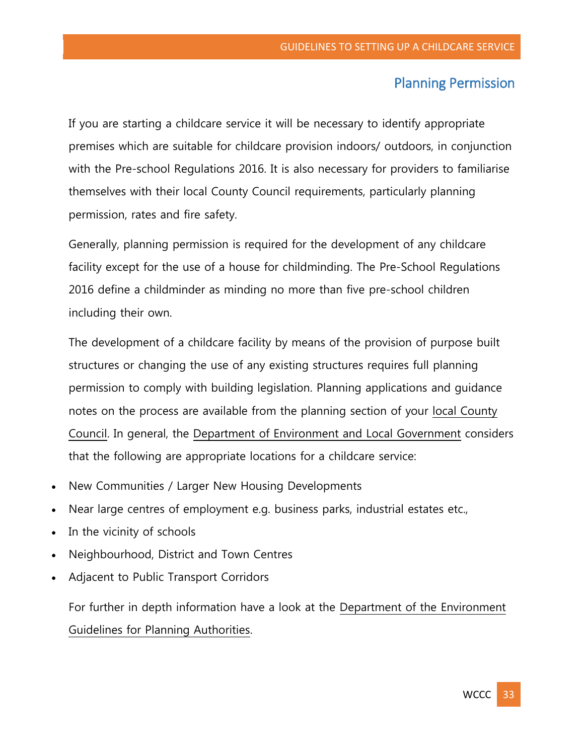# Planning Permission

<span id="page-32-0"></span>If you are starting a childcare service it will be necessary to identify appropriate premises which are suitable for childcare provision indoors/ outdoors, in conjunction with the Pre-school Regulations 2016. It is also necessary for providers to familiarise themselves with their local County Council requirements, particularly planning permission, rates and fire safety.

Generally, planning permission is required for the development of any childcare facility except for the use of a house for childminding. The Pre-School Regulations 2016 define a childminder as minding no more than five pre-school children including their own.

The development of a childcare facility by means of the provision of purpose built structures or changing the use of any existing structures requires full planning permission to comply with building legislation. Planning applications and guidance notes on the process are available from the planning section of your [local County](http://www.environ.ie/en/LocalGovernment/LocalGovernmentAdministration/LocalAuthorities/)  [Council.](http://www.environ.ie/en/LocalGovernment/LocalGovernmentAdministration/LocalAuthorities/) In general, the [Department of Environment and Local Government](http://www.environ.ie/en/) considers that the following are appropriate locations for a childcare service:

- New Communities / Larger New Housing Developments
- Near large centres of employment e.g. business parks, industrial estates etc.,
- In the vicinity of schools
- Neighbourhood, District and Town Centres
- Adjacent to Public Transport Corridors

For further in depth information have a look at the [Department of the Environment](https://www.earlychildhoodireland.ie/wp-content/uploads/2015/05/Department-of-the-Environment-Guidlines-for-Planning-Authorities1.pdf)  [Guidelines for Planning Authorities.](https://www.earlychildhoodireland.ie/wp-content/uploads/2015/05/Department-of-the-Environment-Guidlines-for-Planning-Authorities1.pdf)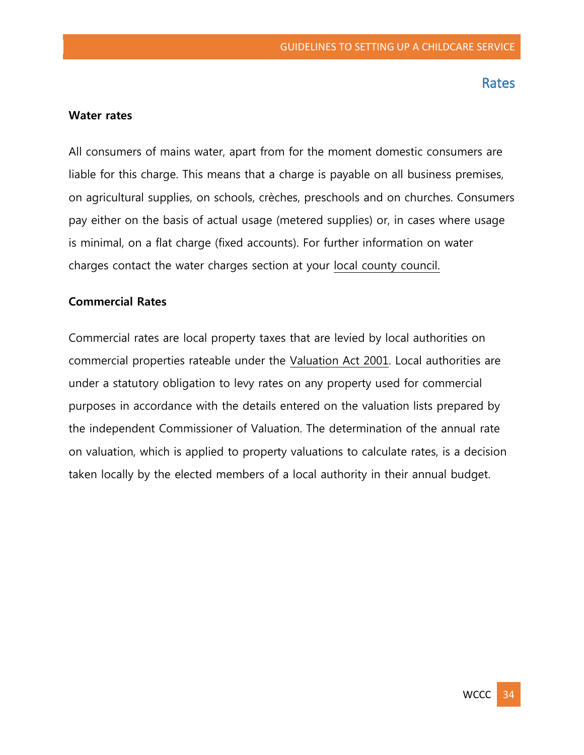## Rates

#### <span id="page-33-0"></span>**Water rates**

All consumers of mains water, apart from for the moment domestic consumers are liable for this charge. This means that a charge is payable on all business premises, on agricultural supplies, on schools, crèches, preschools and on churches. Consumers pay either on the basis of actual usage (metered supplies) or, in cases where usage is minimal, on a flat charge (fixed accounts). For further information on water charges contact the water charges section at your [local county council.](http://www.environ.ie/en/LocalGovernment/LocalGovernmentAdministration/LocalAuthorities/)

#### **Commercial Rates**

<span id="page-33-1"></span>Commercial rates are local property taxes that are levied by local authorities on commercial properties rateable under the [Valuation Act 2001.](https://www.earlychildhoodireland.ie/wp-content/uploads/2015/05/Valuation-Act-20011.pdf) Local authorities are under a statutory obligation to levy rates on any property used for commercial purposes in accordance with the details entered on the valuation lists prepared by the independent Commissioner of Valuation. The determination of the annual rate on valuation, which is applied to property valuations to calculate rates, is a decision taken locally by the elected members of a local authority in their annual budget.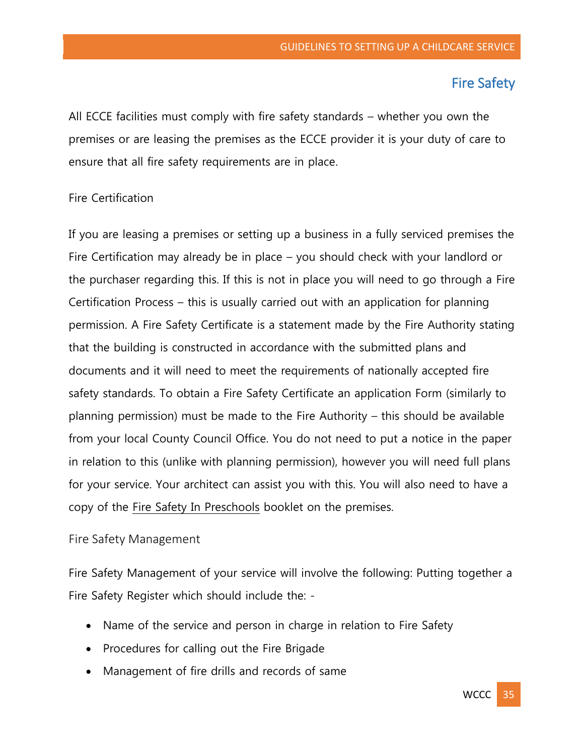# Fire Safety

All ECCE facilities must comply with fire safety standards – whether you own the premises or are leasing the premises as the ECCE provider it is your duty of care to ensure that all fire safety requirements are in place.

#### Fire Certification

If you are leasing a premises or setting up a business in a fully serviced premises the Fire Certification may already be in place – you should check with your landlord or the purchaser regarding this. If this is not in place you will need to go through a Fire Certification Process – this is usually carried out with an application for planning permission. A Fire Safety Certificate is a statement made by the Fire Authority stating that the building is constructed in accordance with the submitted plans and documents and it will need to meet the requirements of nationally accepted fire safety standards. To obtain a Fire Safety Certificate an application Form (similarly to planning permission) must be made to the Fire Authority – this should be available from your local County Council Office. You do not need to put a notice in the paper in relation to this (unlike with planning permission), however you will need full plans for your service. Your architect can assist you with this. You will also need to have a copy of the [Fire Safety In Preschools](https://www.earlychildhoodireland.ie/wp-content/uploads/2015/05/FIRESAFETYINPRESCHOOLS.pdf) booklet on the premises.

#### Fire Safety Management

Fire Safety Management of your service will involve the following: Putting together a Fire Safety Register which should include the: -

- Name of the service and person in charge in relation to Fire Safety
- Procedures for calling out the Fire Brigade
- Management of fire drills and records of same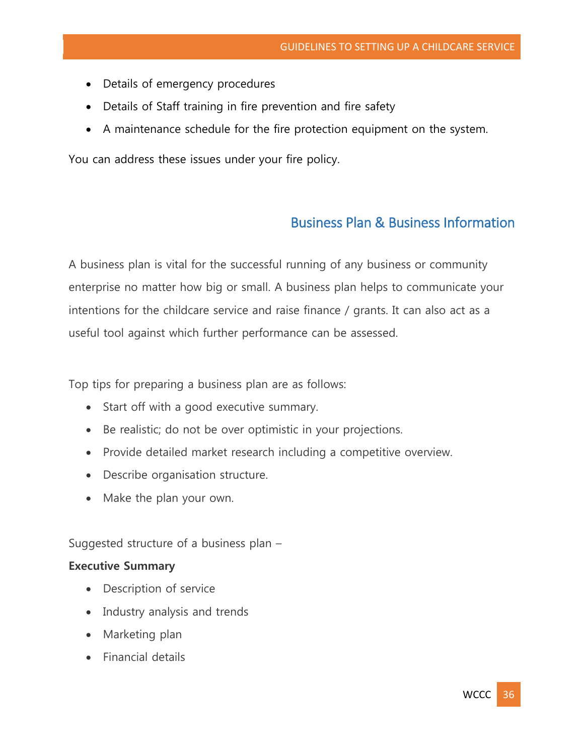- Details of emergency procedures
- Details of Staff training in fire prevention and fire safety
- A maintenance schedule for the fire protection equipment on the system.

You can address these issues under your fire policy.

# Business Plan & Business Information

<span id="page-35-0"></span>A business plan is vital for the successful running of any business or community enterprise no matter how big or small. A business plan helps to communicate your intentions for the childcare service and raise finance / grants. It can also act as a useful tool against which further performance can be assessed.

Top tips for preparing a business plan are as follows:

- Start off with a good executive summary.
- Be realistic; do not be over optimistic in your projections.
- Provide detailed market research including a competitive overview.
- Describe organisation structure.
- Make the plan your own.

Suggested structure of a business plan –

#### **Executive Summary**

- Description of service
- Industry analysis and trends
- Marketing plan
- Financial details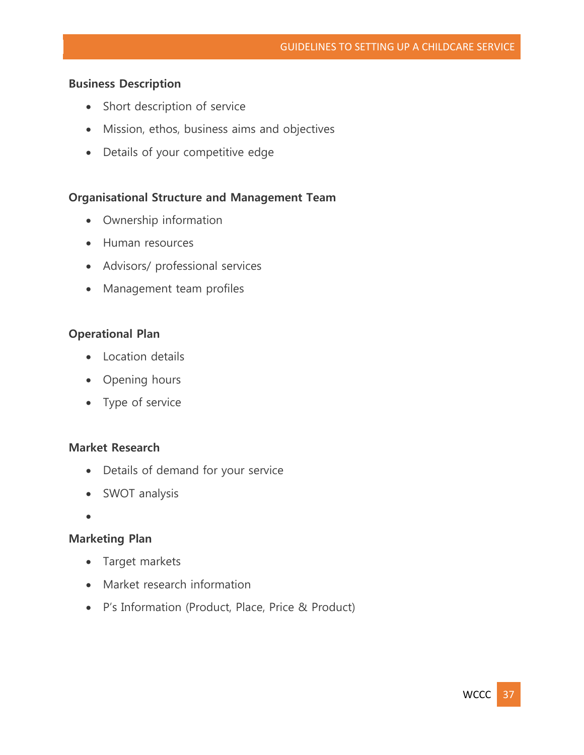# **Business Description**

- Short description of service
- Mission, ethos, business aims and objectives
- Details of your competitive edge

# **Organisational Structure and Management Team**

- Ownership information
- Human resources
- Advisors/ professional services
- Management team profiles

# **Operational Plan**

- Location details
- Opening hours
- Type of service

# **Market Research**

- Details of demand for your service
- SWOT analysis
- $\bullet$

# **Marketing Plan**

- Target markets
- Market research information
- P's Information (Product, Place, Price & Product)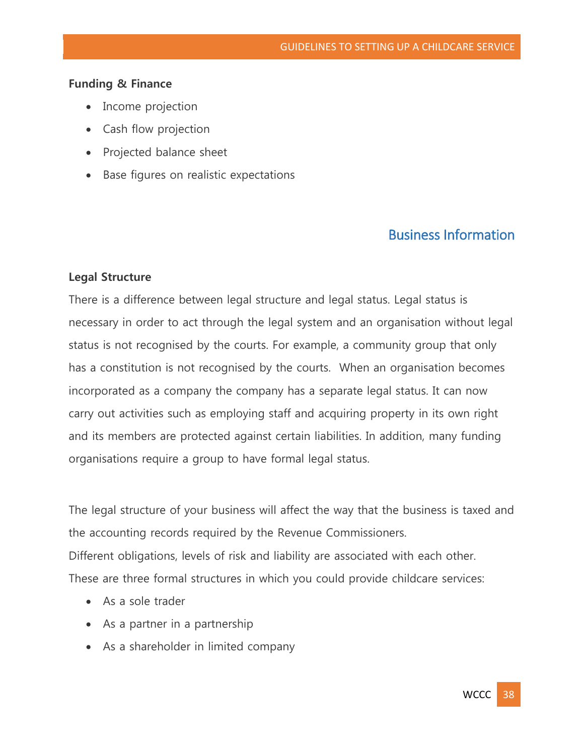#### **Funding & Finance**

- Income projection
- Cash flow projection
- Projected balance sheet
- Base figures on realistic expectations

# Business Information

#### **Legal Structure**

There is a difference between legal structure and legal status. Legal status is necessary in order to act through the legal system and an organisation without legal status is not recognised by the courts. For example, a community group that only has a constitution is not recognised by the courts. When an organisation becomes incorporated as a company the company has a separate legal status. It can now carry out activities such as employing staff and acquiring property in its own right and its members are protected against certain liabilities. In addition, many funding organisations require a group to have formal legal status.

The legal structure of your business will affect the way that the business is taxed and the accounting records required by the Revenue Commissioners. Different obligations, levels of risk and liability are associated with each other. These are three formal structures in which you could provide childcare services:

- As a sole trader
- As a partner in a partnership
- As a shareholder in limited company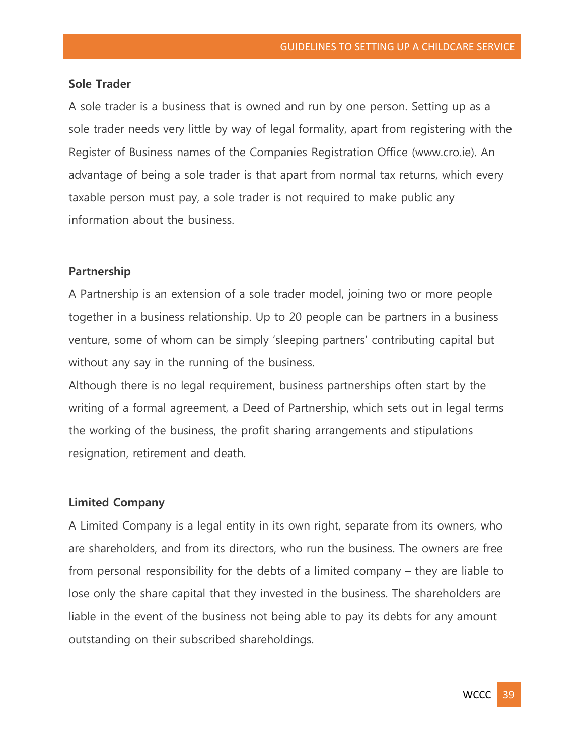#### **Sole Trader**

A sole trader is a business that is owned and run by one person. Setting up as a sole trader needs very little by way of legal formality, apart from registering with the Register of Business names of the Companies Registration Office (www.cro.ie). An advantage of being a sole trader is that apart from normal tax returns, which every taxable person must pay, a sole trader is not required to make public any information about the business.

#### **Partnership**

A Partnership is an extension of a sole trader model, joining two or more people together in a business relationship. Up to 20 people can be partners in a business venture, some of whom can be simply 'sleeping partners' contributing capital but without any say in the running of the business.

Although there is no legal requirement, business partnerships often start by the writing of a formal agreement, a Deed of Partnership, which sets out in legal terms the working of the business, the profit sharing arrangements and stipulations resignation, retirement and death.

#### **Limited Company**

A Limited Company is a legal entity in its own right, separate from its owners, who are shareholders, and from its directors, who run the business. The owners are free from personal responsibility for the debts of a limited company – they are liable to lose only the share capital that they invested in the business. The shareholders are liable in the event of the business not being able to pay its debts for any amount outstanding on their subscribed shareholdings.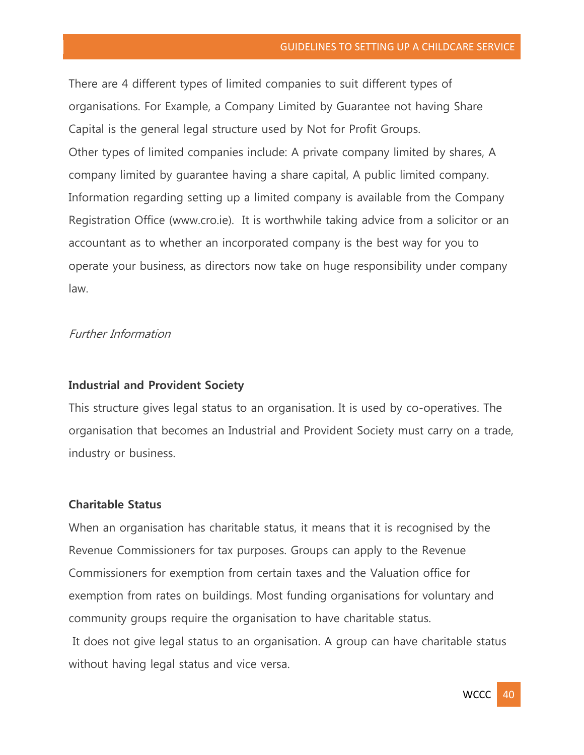There are 4 different types of limited companies to suit different types of organisations. For Example, a Company Limited by Guarantee not having Share Capital is the general legal structure used by Not for Profit Groups. Other types of limited companies include: A private company limited by shares, A company limited by guarantee having a share capital, A public limited company. Information regarding setting up a limited company is available from the Company Registration Office (www.cro.ie). It is worthwhile taking advice from a solicitor or an accountant as to whether an incorporated company is the best way for you to operate your business, as directors now take on huge responsibility under company law.

#### Further Information

#### **Industrial and Provident Society**

This structure gives legal status to an organisation. It is used by co-operatives. The organisation that becomes an Industrial and Provident Society must carry on a trade, industry or business.

#### **Charitable Status**

When an organisation has charitable status, it means that it is recognised by the Revenue Commissioners for tax purposes. Groups can apply to the Revenue Commissioners for exemption from certain taxes and the Valuation office for exemption from rates on buildings. Most funding organisations for voluntary and community groups require the organisation to have charitable status. It does not give legal status to an organisation. A group can have charitable status without having legal status and vice versa.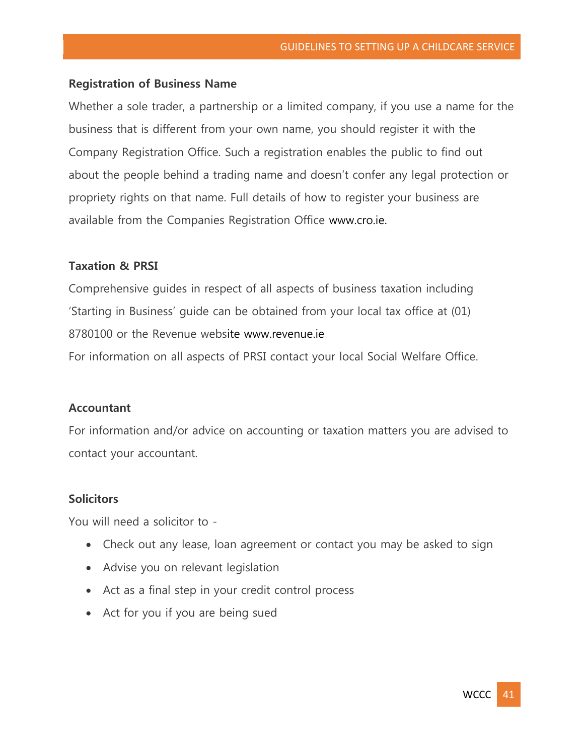#### **Registration of Business Name**

Whether a sole trader, a partnership or a limited company, if you use a name for the business that is different from your own name, you should register it with the Company Registration Office. Such a registration enables the public to find out about the people behind a trading name and doesn't confer any legal protection or propriety rights on that name. Full details of how to register your business are available from the Companies Registration Office [www.cro.ie.](http://www.cro.ie/)

#### **Taxation & PRSI**

Comprehensive guides in respect of all aspects of business taxation including 'Starting in Business' guide can be obtained from your local tax office at (01) 8780100 or the Revenue website [www.revenue.ie](http://www.revenue.ie/)

For information on all aspects of PRSI contact your local Social Welfare Office.

#### **Accountant**

For information and/or advice on accounting or taxation matters you are advised to contact your accountant.

#### **Solicitors**

You will need a solicitor to -

- Check out any lease, loan agreement or contact you may be asked to sign
- Advise you on relevant legislation
- Act as a final step in your credit control process
- Act for you if you are being sued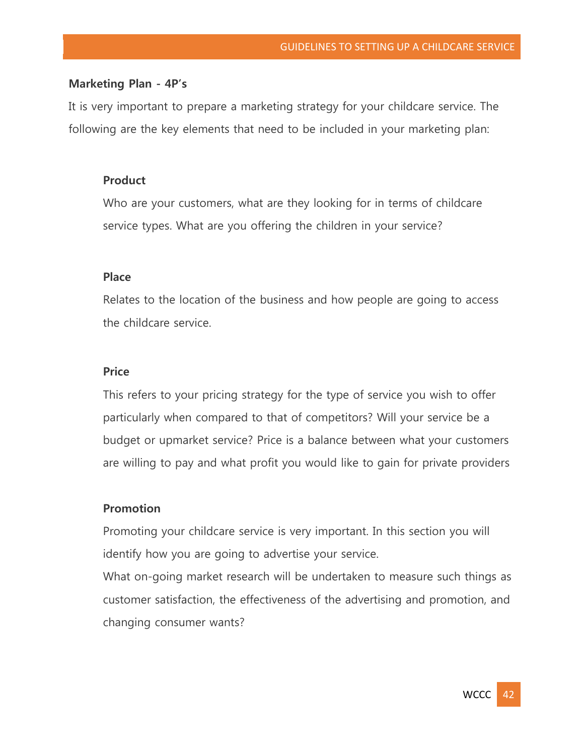#### **Marketing Plan - 4P's**

It is very important to prepare a marketing strategy for your childcare service. The following are the key elements that need to be included in your marketing plan:

#### **Product**

Who are your customers, what are they looking for in terms of childcare service types. What are you offering the children in your service?

#### **Place**

Relates to the location of the business and how people are going to access the childcare service.

#### **Price**

This refers to your pricing strategy for the type of service you wish to offer particularly when compared to that of competitors? Will your service be a budget or upmarket service? Price is a balance between what your customers are willing to pay and what profit you would like to gain for private providers

#### **Promotion**

Promoting your childcare service is very important. In this section you will identify how you are going to advertise your service.

<span id="page-41-0"></span>What on-going market research will be undertaken to measure such things as customer satisfaction, the effectiveness of the advertising and promotion, and changing consumer wants?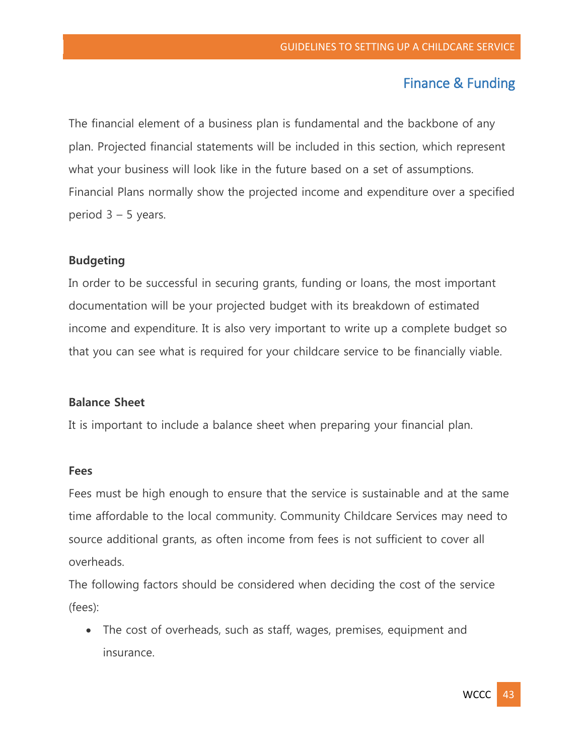# Finance & Funding

The financial element of a business plan is fundamental and the backbone of any plan. Projected financial statements will be included in this section, which represent what your business will look like in the future based on a set of assumptions. Financial Plans normally show the projected income and expenditure over a specified period 3 – 5 years.

#### **Budgeting**

In order to be successful in securing grants, funding or loans, the most important documentation will be your projected budget with its breakdown of estimated income and expenditure. It is also very important to write up a complete budget so that you can see what is required for your childcare service to be financially viable.

#### **Balance Sheet**

It is important to include a balance sheet when preparing your financial plan.

#### **Fees**

Fees must be high enough to ensure that the service is sustainable and at the same time affordable to the local community. Community Childcare Services may need to source additional grants, as often income from fees is not sufficient to cover all overheads.

The following factors should be considered when deciding the cost of the service (fees):

 The cost of overheads, such as staff, wages, premises, equipment and insurance.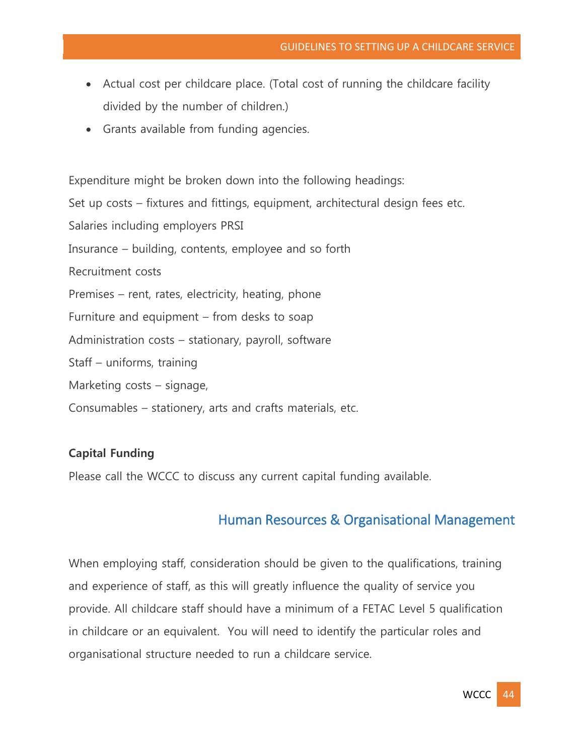- Actual cost per childcare place. (Total cost of running the childcare facility divided by the number of children.)
- Grants available from funding agencies.

Expenditure might be broken down into the following headings: Set up costs – fixtures and fittings, equipment, architectural design fees etc. Salaries including employers PRSI Insurance – building, contents, employee and so forth Recruitment costs Premises – rent, rates, electricity, heating, phone Furniture and equipment – from desks to soap Administration costs – stationary, payroll, software Staff – uniforms, training Marketing costs – signage, Consumables – stationery, arts and crafts materials, etc.

#### **Capital Funding**

Please call the WCCC to discuss any current capital funding available.

# Human Resources & Organisational Management

When employing staff, consideration should be given to the qualifications, training and experience of staff, as this will greatly influence the quality of service you provide. All childcare staff should have a minimum of a FETAC Level 5 qualification in childcare or an equivalent. You will need to identify the particular roles and organisational structure needed to run a childcare service.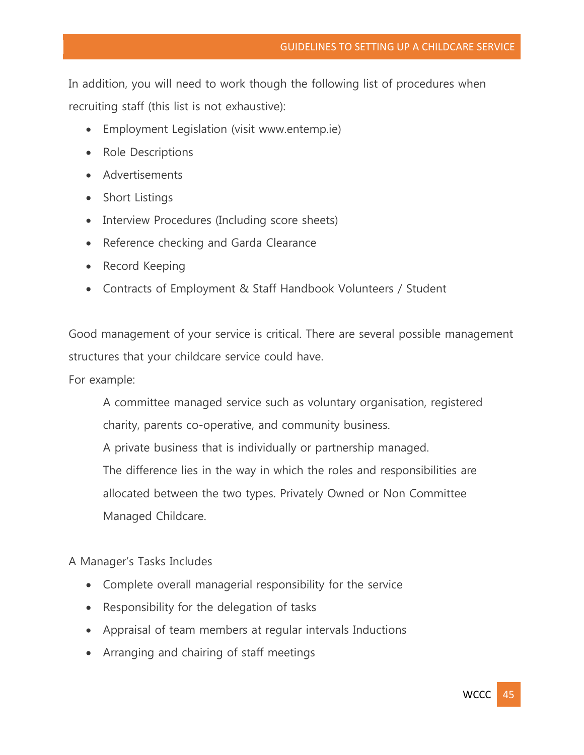#### GUIDELINES TO SETTING UP A CHILDCARE SERVICE

In addition, you will need to work though the following list of procedures when recruiting staff (this list is not exhaustive):

- Employment Legislation (visit www.entemp.ie)
- Role Descriptions
- Advertisements
- Short Listings
- Interview Procedures (Including score sheets)
- Reference checking and Garda Clearance
- Record Keeping
- Contracts of Employment & Staff Handbook Volunteers / Student

Good management of your service is critical. There are several possible management structures that your childcare service could have.

For example:

A committee managed service such as voluntary organisation, registered charity, parents co-operative, and community business.

A private business that is individually or partnership managed.

The difference lies in the way in which the roles and responsibilities are allocated between the two types. Privately Owned or Non Committee Managed Childcare.

A Manager's Tasks Includes

- Complete overall managerial responsibility for the service
- Responsibility for the delegation of tasks
- Appraisal of team members at regular intervals Inductions
- Arranging and chairing of staff meetings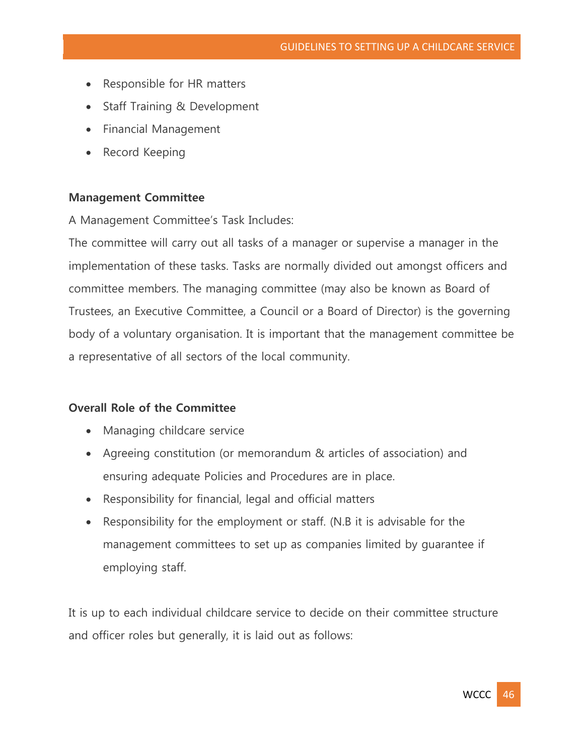- Responsible for HR matters
- Staff Training & Development
- Financial Management
- Record Keeping

#### **Management Committee**

A Management Committee's Task Includes:

The committee will carry out all tasks of a manager or supervise a manager in the implementation of these tasks. Tasks are normally divided out amongst officers and committee members. The managing committee (may also be known as Board of Trustees, an Executive Committee, a Council or a Board of Director) is the governing body of a voluntary organisation. It is important that the management committee be a representative of all sectors of the local community.

#### **Overall Role of the Committee**

- Managing childcare service
- Agreeing constitution (or memorandum & articles of association) and ensuring adequate Policies and Procedures are in place.
- Responsibility for financial, legal and official matters
- Responsibility for the employment or staff. (N.B it is advisable for the management committees to set up as companies limited by guarantee if employing staff.

It is up to each individual childcare service to decide on their committee structure and officer roles but generally, it is laid out as follows: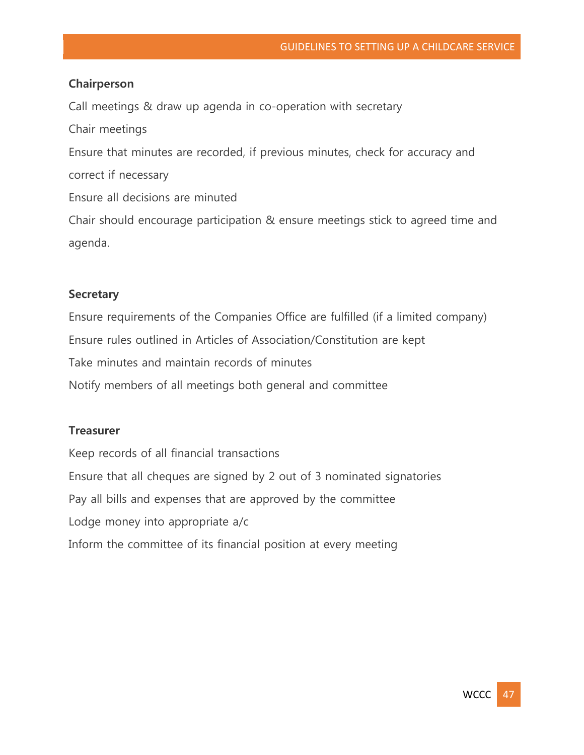## **Chairperson**

Call meetings & draw up agenda in co-operation with secretary Chair meetings Ensure that minutes are recorded, if previous minutes, check for accuracy and correct if necessary Ensure all decisions are minuted Chair should encourage participation & ensure meetings stick to agreed time and agenda.

# **Secretary**

Ensure requirements of the Companies Office are fulfilled (if a limited company) Ensure rules outlined in Articles of Association/Constitution are kept Take minutes and maintain records of minutes Notify members of all meetings both general and committee

# **Treasurer**

<span id="page-46-0"></span>Keep records of all financial transactions Ensure that all cheques are signed by 2 out of 3 nominated signatories Pay all bills and expenses that are approved by the committee Lodge money into appropriate a/c Inform the committee of its financial position at every meeting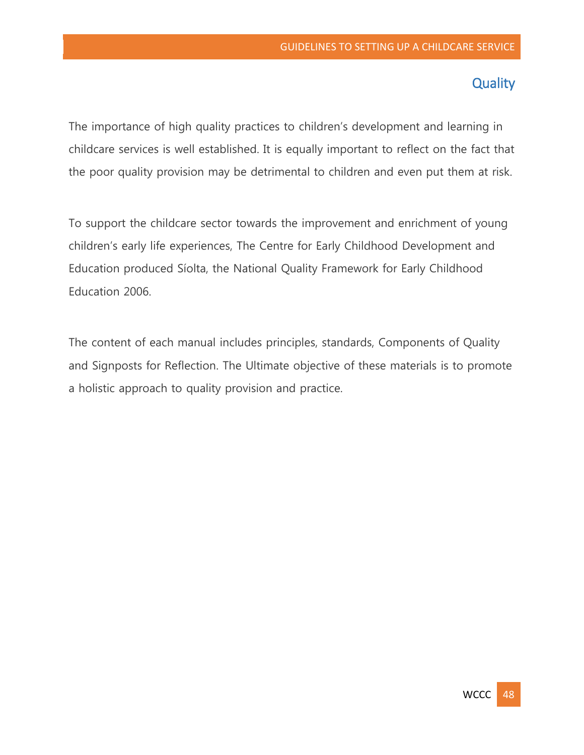# **Quality**

The importance of high quality practices to children's development and learning in childcare services is well established. It is equally important to reflect on the fact that the poor quality provision may be detrimental to children and even put them at risk.

To support the childcare sector towards the improvement and enrichment of young children's early life experiences, The Centre for Early Childhood Development and Education produced Síolta, the National Quality Framework for Early Childhood Education 2006.

<span id="page-47-0"></span>The content of each manual includes principles, standards, Components of Quality and Signposts for Reflection. The Ultimate objective of these materials is to promote a holistic approach to quality provision and practice.